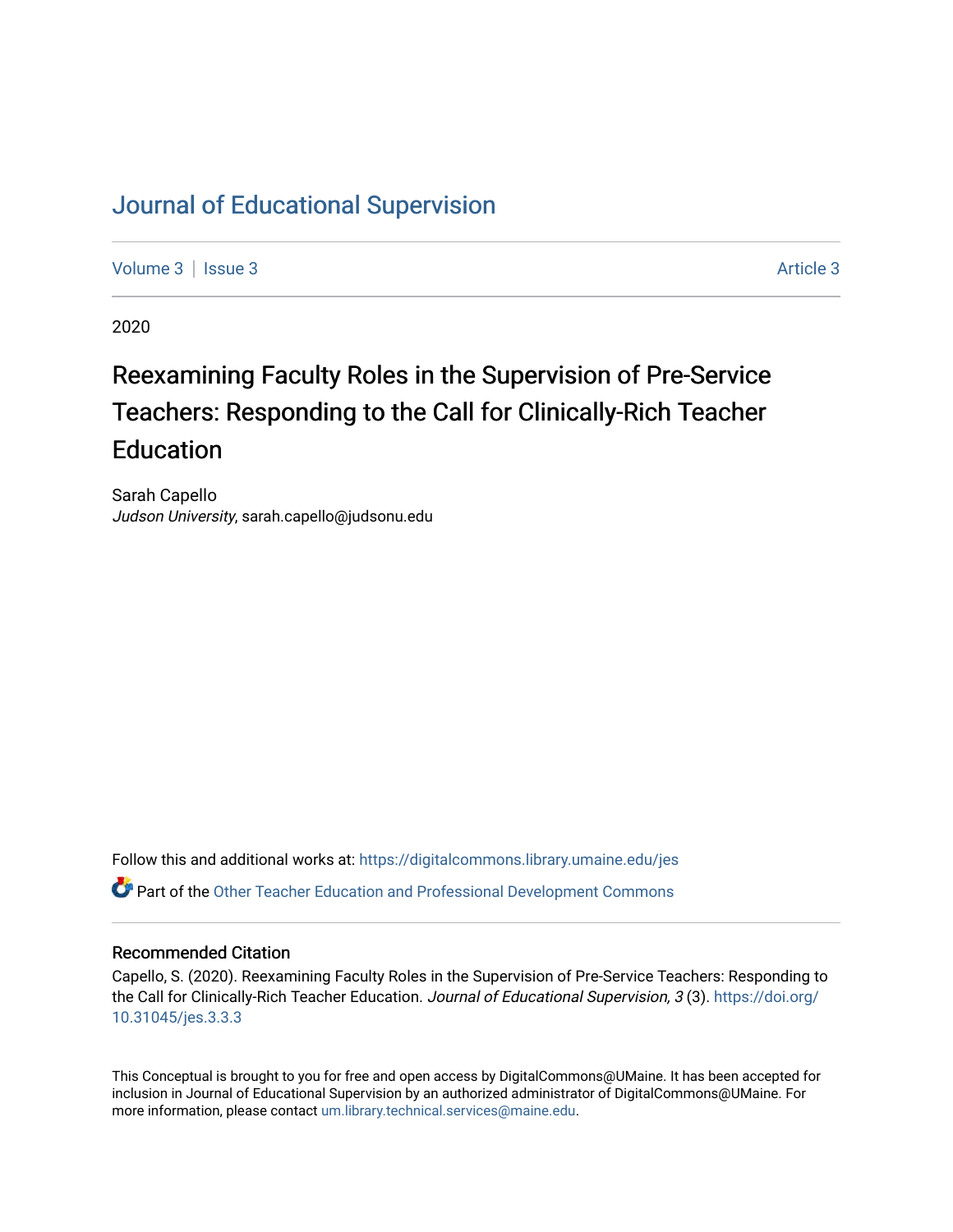## [Journal of Educational Supervision](https://digitalcommons.library.umaine.edu/jes)

[Volume 3](https://digitalcommons.library.umaine.edu/jes/vol3) | [Issue 3](https://digitalcommons.library.umaine.edu/jes/vol3/iss3) Article 3

2020

# Reexamining Faculty Roles in the Supervision of Pre-Service Teachers: Responding to the Call for Clinically-Rich Teacher Education

Sarah Capello Judson University, sarah.capello@judsonu.edu

Follow this and additional works at: [https://digitalcommons.library.umaine.edu/jes](https://digitalcommons.library.umaine.edu/jes?utm_source=digitalcommons.library.umaine.edu%2Fjes%2Fvol3%2Fiss3%2F3&utm_medium=PDF&utm_campaign=PDFCoverPages) Part of the [Other Teacher Education and Professional Development Commons](http://network.bepress.com/hgg/discipline/810?utm_source=digitalcommons.library.umaine.edu%2Fjes%2Fvol3%2Fiss3%2F3&utm_medium=PDF&utm_campaign=PDFCoverPages)

#### Recommended Citation

Capello, S. (2020). Reexamining Faculty Roles in the Supervision of Pre-Service Teachers: Responding to the Call for Clinically-Rich Teacher Education. Journal of Educational Supervision, 3 (3). [https://doi.org/](https://doi.org/10.31045/jes.3.3.3) [10.31045/jes.3.3.3](https://doi.org/10.31045/jes.3.3.3) 

This Conceptual is brought to you for free and open access by DigitalCommons@UMaine. It has been accepted for inclusion in Journal of Educational Supervision by an authorized administrator of DigitalCommons@UMaine. For more information, please contact [um.library.technical.services@maine.edu](mailto:um.library.technical.services@maine.edu).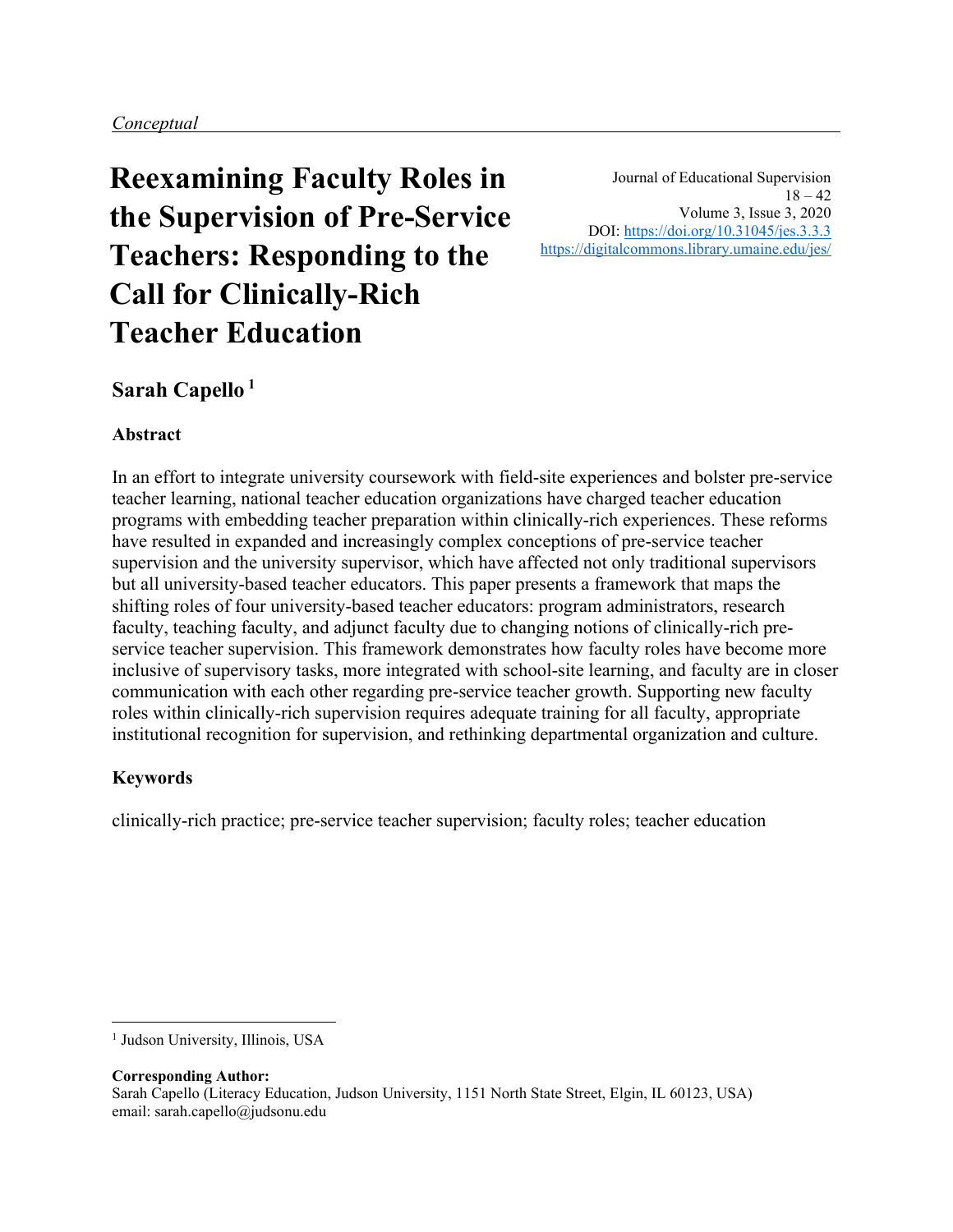**Reexamining Faculty Roles in the Supervision of Pre-Service Teachers: Responding to the Call for Clinically-Rich Teacher Education**

Journal of Educational Supervision  $18 - 42$ Volume 3, Issue 3, 2020 DOI:<https://doi.org/10.31045/jes.3.3.3> <https://digitalcommons.library.umaine.edu/jes/>

## **Sarah Capello <sup>1</sup>**

## **Abstract**

In an effort to integrate university coursework with field-site experiences and bolster pre-service teacher learning, national teacher education organizations have charged teacher education programs with embedding teacher preparation within clinically-rich experiences. These reforms have resulted in expanded and increasingly complex conceptions of pre-service teacher supervision and the university supervisor, which have affected not only traditional supervisors but all university-based teacher educators. This paper presents a framework that maps the shifting roles of four university-based teacher educators: program administrators, research faculty, teaching faculty, and adjunct faculty due to changing notions of clinically-rich preservice teacher supervision. This framework demonstrates how faculty roles have become more inclusive of supervisory tasks, more integrated with school-site learning, and faculty are in closer communication with each other regarding pre-service teacher growth. Supporting new faculty roles within clinically-rich supervision requires adequate training for all faculty, appropriate institutional recognition for supervision, and rethinking departmental organization and culture.

## **Keywords**

clinically-rich practice; pre-service teacher supervision; faculty roles; teacher education

**Corresponding Author:** Sarah Capello (Literacy Education, Judson University, 1151 North State Street, Elgin, IL 60123, USA) email: sarah.capello@judsonu.edu

<sup>&</sup>lt;sup>1</sup> Judson University, Illinois, USA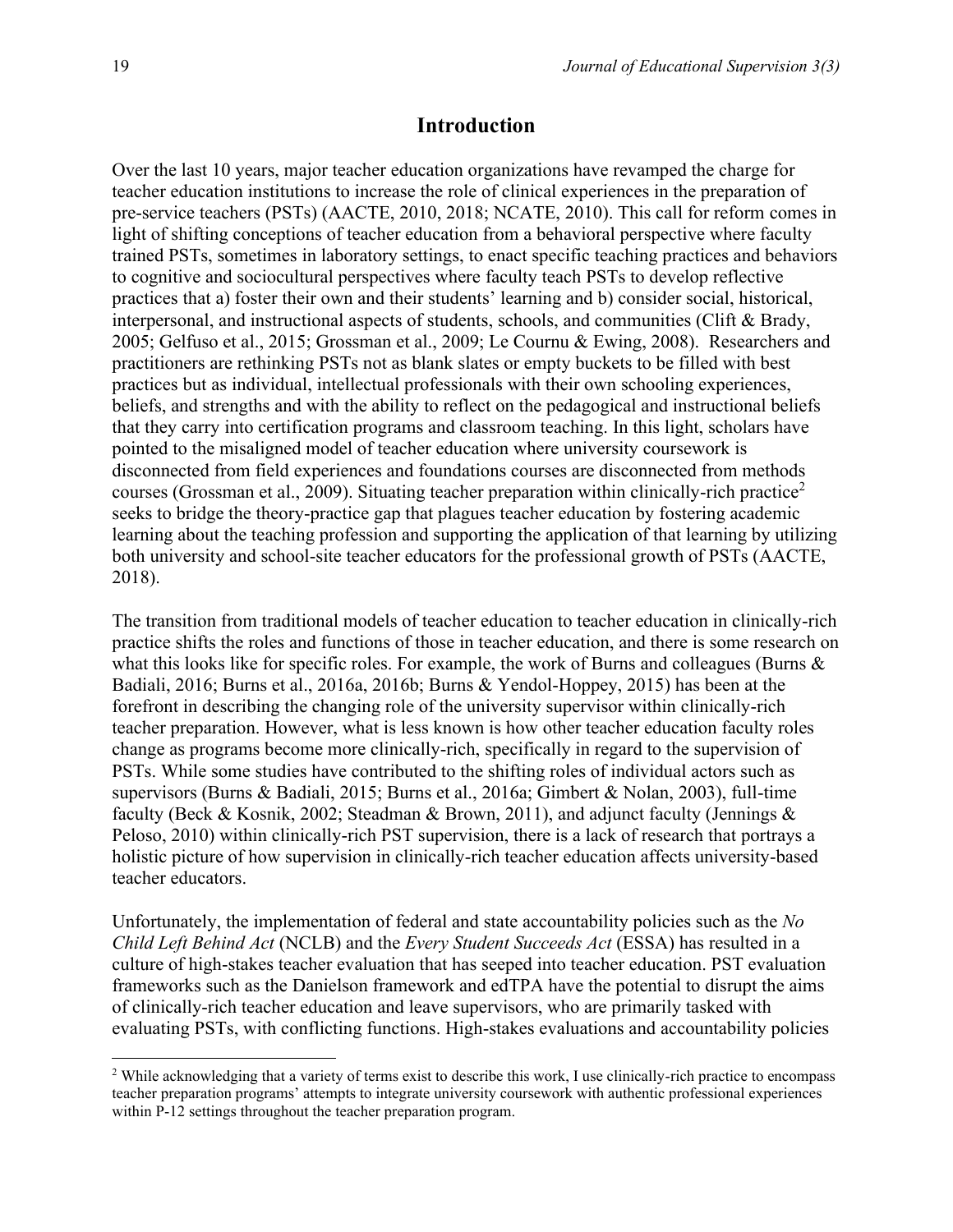#### **Introduction**

Over the last 10 years, major teacher education organizations have revamped the charge for teacher education institutions to increase the role of clinical experiences in the preparation of pre-service teachers (PSTs) (AACTE, 2010, 2018; NCATE, 2010). This call for reform comes in light of shifting conceptions of teacher education from a behavioral perspective where faculty trained PSTs, sometimes in laboratory settings, to enact specific teaching practices and behaviors to cognitive and sociocultural perspectives where faculty teach PSTs to develop reflective practices that a) foster their own and their students' learning and b) consider social, historical, interpersonal, and instructional aspects of students, schools, and communities (Clift & Brady, 2005; Gelfuso et al., 2015; Grossman et al., 2009; Le Cournu & Ewing, 2008). Researchers and practitioners are rethinking PSTs not as blank slates or empty buckets to be filled with best practices but as individual, intellectual professionals with their own schooling experiences, beliefs, and strengths and with the ability to reflect on the pedagogical and instructional beliefs that they carry into certification programs and classroom teaching. In this light, scholars have pointed to the misaligned model of teacher education where university coursework is disconnected from field experiences and foundations courses are disconnected from methods courses (Grossman et al., 2009). Situating teacher preparation within clinically-rich practice<sup>2</sup> seeks to bridge the theory-practice gap that plagues teacher education by fostering academic learning about the teaching profession and supporting the application of that learning by utilizing both university and school-site teacher educators for the professional growth of PSTs (AACTE, 2018).

The transition from traditional models of teacher education to teacher education in clinically-rich practice shifts the roles and functions of those in teacher education, and there is some research on what this looks like for specific roles. For example, the work of Burns and colleagues (Burns & Badiali, 2016; Burns et al., 2016a, 2016b; Burns & Yendol-Hoppey, 2015) has been at the forefront in describing the changing role of the university supervisor within clinically-rich teacher preparation. However, what is less known is how other teacher education faculty roles change as programs become more clinically-rich, specifically in regard to the supervision of PSTs. While some studies have contributed to the shifting roles of individual actors such as supervisors (Burns & Badiali, 2015; Burns et al., 2016a; Gimbert & Nolan, 2003), full-time faculty (Beck & Kosnik, 2002; Steadman & Brown, 2011), and adjunct faculty (Jennings & Peloso, 2010) within clinically-rich PST supervision, there is a lack of research that portrays a holistic picture of how supervision in clinically-rich teacher education affects university-based teacher educators.

Unfortunately, the implementation of federal and state accountability policies such as the *No Child Left Behind Act* (NCLB) and the *Every Student Succeeds Act* (ESSA) has resulted in a culture of high-stakes teacher evaluation that has seeped into teacher education. PST evaluation frameworks such as the Danielson framework and edTPA have the potential to disrupt the aims of clinically-rich teacher education and leave supervisors, who are primarily tasked with evaluating PSTs, with conflicting functions. High-stakes evaluations and accountability policies

<sup>&</sup>lt;sup>2</sup> While acknowledging that a variety of terms exist to describe this work, I use clinically-rich practice to encompass teacher preparation programs' attempts to integrate university coursework with authentic professional experiences within P-12 settings throughout the teacher preparation program.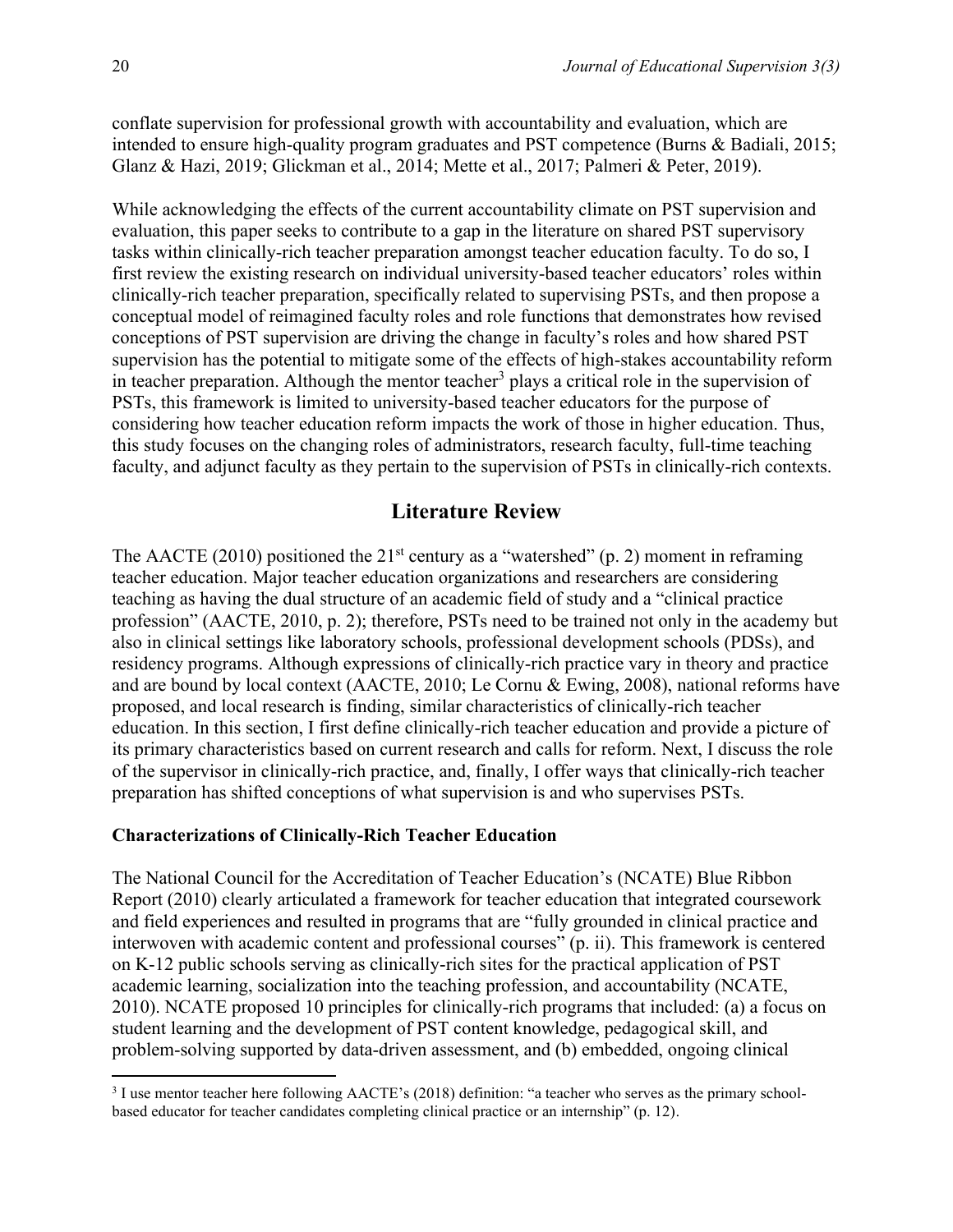conflate supervision for professional growth with accountability and evaluation, which are intended to ensure high-quality program graduates and PST competence (Burns & Badiali, 2015; Glanz & Hazi, 2019; Glickman et al., 2014; Mette et al., 2017; Palmeri & Peter, 2019).

While acknowledging the effects of the current accountability climate on PST supervision and evaluation, this paper seeks to contribute to a gap in the literature on shared PST supervisory tasks within clinically-rich teacher preparation amongst teacher education faculty. To do so, I first review the existing research on individual university-based teacher educators' roles within clinically-rich teacher preparation, specifically related to supervising PSTs, and then propose a conceptual model of reimagined faculty roles and role functions that demonstrates how revised conceptions of PST supervision are driving the change in faculty's roles and how shared PST supervision has the potential to mitigate some of the effects of high-stakes accountability reform in teacher preparation. Although the mentor teacher<sup>3</sup> plays a critical role in the supervision of PSTs, this framework is limited to university-based teacher educators for the purpose of considering how teacher education reform impacts the work of those in higher education. Thus, this study focuses on the changing roles of administrators, research faculty, full-time teaching faculty, and adjunct faculty as they pertain to the supervision of PSTs in clinically-rich contexts.

### **Literature Review**

The AACTE (2010) positioned the  $21<sup>st</sup>$  century as a "watershed" (p. 2) moment in reframing teacher education. Major teacher education organizations and researchers are considering teaching as having the dual structure of an academic field of study and a "clinical practice profession" (AACTE, 2010, p. 2); therefore, PSTs need to be trained not only in the academy but also in clinical settings like laboratory schools, professional development schools (PDSs), and residency programs. Although expressions of clinically-rich practice vary in theory and practice and are bound by local context (AACTE, 2010; Le Cornu & Ewing, 2008), national reforms have proposed, and local research is finding, similar characteristics of clinically-rich teacher education. In this section, I first define clinically-rich teacher education and provide a picture of its primary characteristics based on current research and calls for reform. Next, I discuss the role of the supervisor in clinically-rich practice, and, finally, I offer ways that clinically-rich teacher preparation has shifted conceptions of what supervision is and who supervises PSTs.

#### **Characterizations of Clinically-Rich Teacher Education**

The National Council for the Accreditation of Teacher Education's (NCATE) Blue Ribbon Report (2010) clearly articulated a framework for teacher education that integrated coursework and field experiences and resulted in programs that are "fully grounded in clinical practice and interwoven with academic content and professional courses" (p. ii). This framework is centered on K-12 public schools serving as clinically-rich sites for the practical application of PST academic learning, socialization into the teaching profession, and accountability (NCATE, 2010). NCATE proposed 10 principles for clinically-rich programs that included: (a) a focus on student learning and the development of PST content knowledge, pedagogical skill, and problem-solving supported by data-driven assessment, and (b) embedded, ongoing clinical

<sup>&</sup>lt;sup>3</sup> I use mentor teacher here following AACTE's (2018) definition: "a teacher who serves as the primary schoolbased educator for teacher candidates completing clinical practice or an internship" (p. 12).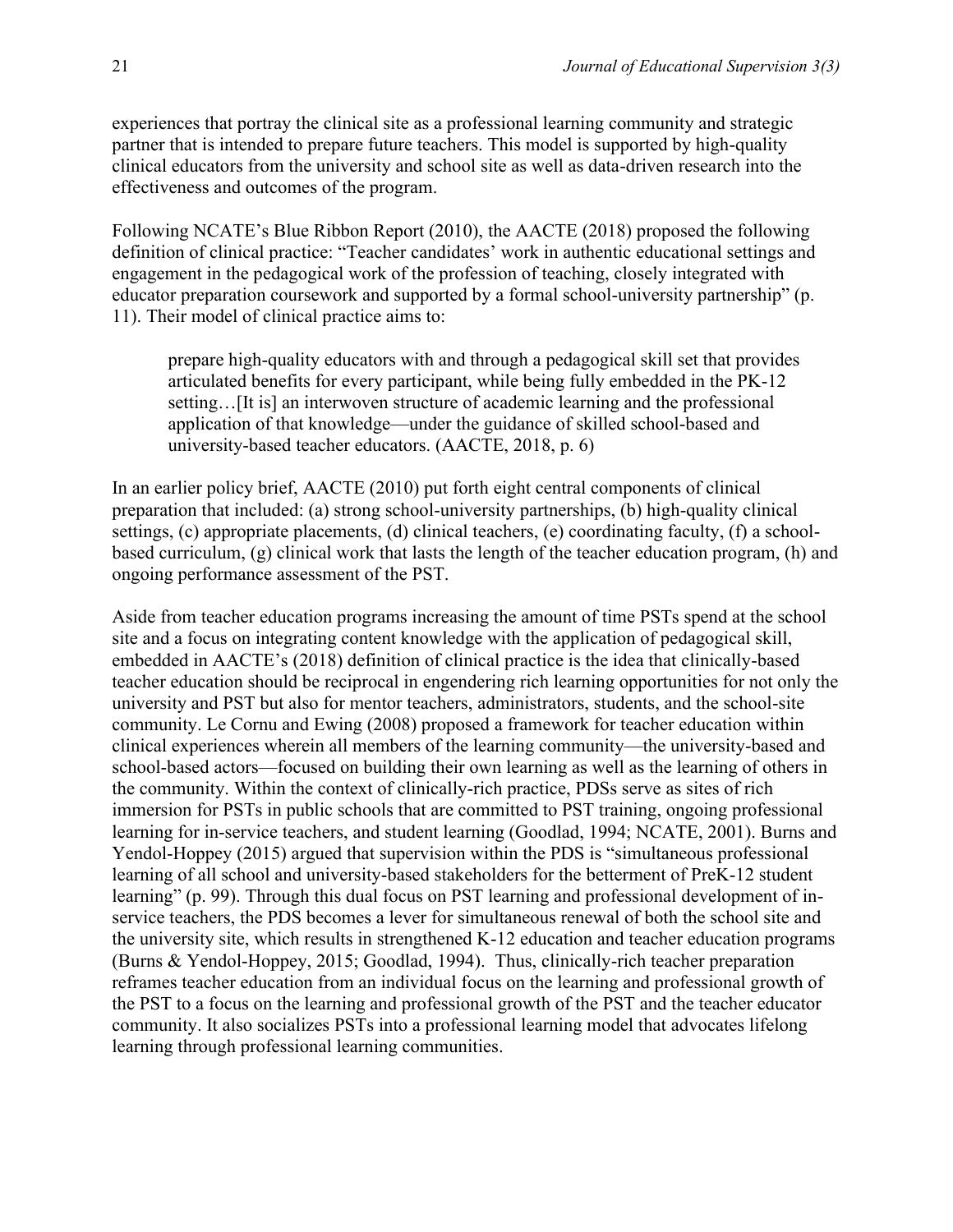experiences that portray the clinical site as a professional learning community and strategic partner that is intended to prepare future teachers. This model is supported by high-quality clinical educators from the university and school site as well as data-driven research into the effectiveness and outcomes of the program.

Following NCATE's Blue Ribbon Report (2010), the AACTE (2018) proposed the following definition of clinical practice: "Teacher candidates' work in authentic educational settings and engagement in the pedagogical work of the profession of teaching, closely integrated with educator preparation coursework and supported by a formal school-university partnership" (p. 11). Their model of clinical practice aims to:

prepare high-quality educators with and through a pedagogical skill set that provides articulated benefits for every participant, while being fully embedded in the PK-12 setting...[It is] an interwoven structure of academic learning and the professional application of that knowledge—under the guidance of skilled school-based and university-based teacher educators. (AACTE, 2018, p. 6)

In an earlier policy brief, AACTE (2010) put forth eight central components of clinical preparation that included: (a) strong school-university partnerships, (b) high-quality clinical settings, (c) appropriate placements, (d) clinical teachers, (e) coordinating faculty, (f) a schoolbased curriculum, (g) clinical work that lasts the length of the teacher education program, (h) and ongoing performance assessment of the PST.

Aside from teacher education programs increasing the amount of time PSTs spend at the school site and a focus on integrating content knowledge with the application of pedagogical skill, embedded in AACTE's (2018) definition of clinical practice is the idea that clinically-based teacher education should be reciprocal in engendering rich learning opportunities for not only the university and PST but also for mentor teachers, administrators, students, and the school-site community. Le Cornu and Ewing (2008) proposed a framework for teacher education within clinical experiences wherein all members of the learning community—the university-based and school-based actors—focused on building their own learning as well as the learning of others in the community. Within the context of clinically-rich practice, PDSs serve as sites of rich immersion for PSTs in public schools that are committed to PST training, ongoing professional learning for in-service teachers, and student learning (Goodlad, 1994; NCATE, 2001). Burns and Yendol-Hoppey (2015) argued that supervision within the PDS is "simultaneous professional learning of all school and university-based stakeholders for the betterment of PreK-12 student learning" (p. 99). Through this dual focus on PST learning and professional development of inservice teachers, the PDS becomes a lever for simultaneous renewal of both the school site and the university site, which results in strengthened K-12 education and teacher education programs (Burns & Yendol-Hoppey, 2015; Goodlad, 1994). Thus, clinically-rich teacher preparation reframes teacher education from an individual focus on the learning and professional growth of the PST to a focus on the learning and professional growth of the PST and the teacher educator community. It also socializes PSTs into a professional learning model that advocates lifelong learning through professional learning communities.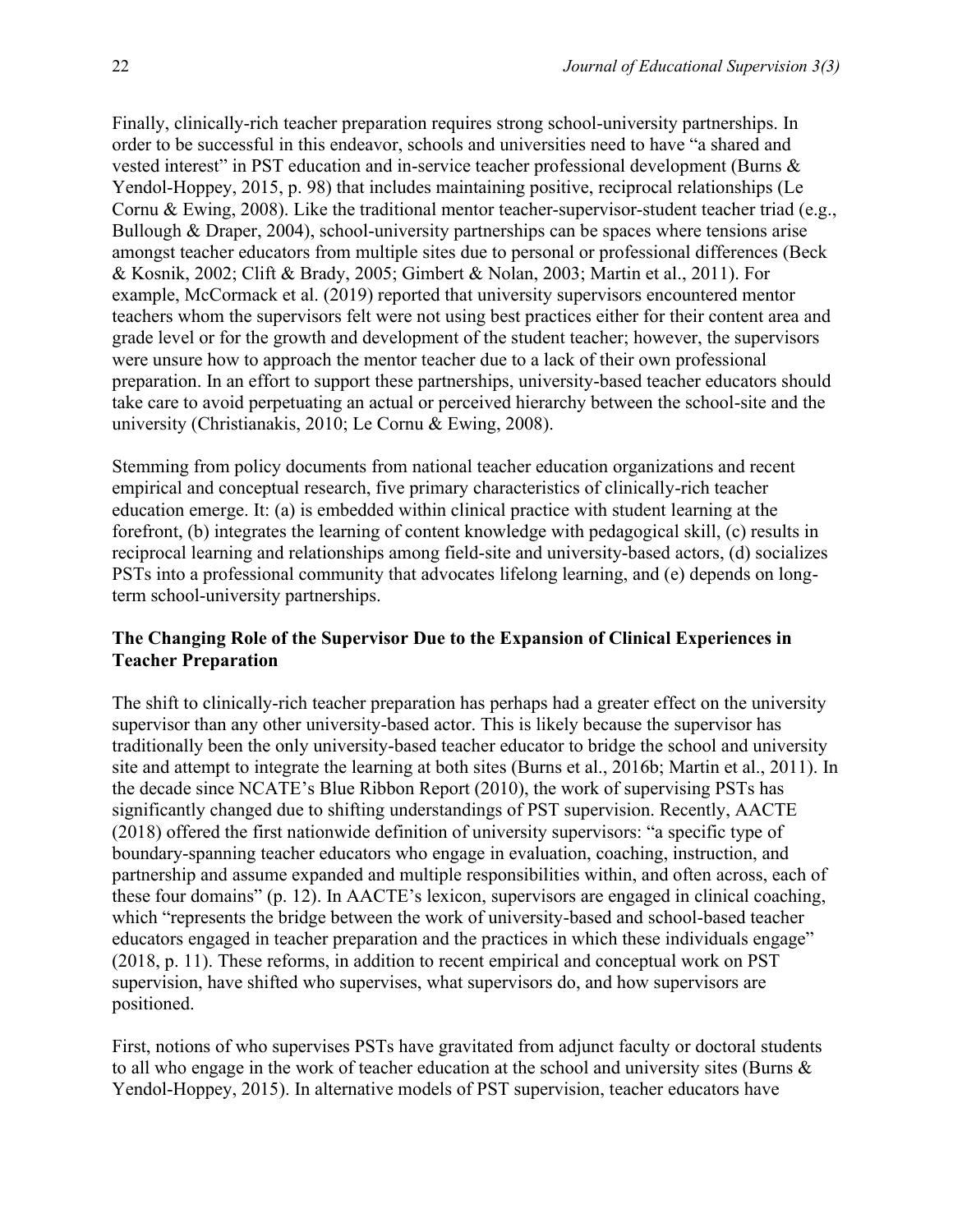Finally, clinically-rich teacher preparation requires strong school-university partnerships. In order to be successful in this endeavor, schools and universities need to have "a shared and vested interest" in PST education and in-service teacher professional development (Burns & Yendol-Hoppey, 2015, p. 98) that includes maintaining positive, reciprocal relationships (Le Cornu & Ewing, 2008). Like the traditional mentor teacher-supervisor-student teacher triad (e.g., Bullough & Draper, 2004), school-university partnerships can be spaces where tensions arise amongst teacher educators from multiple sites due to personal or professional differences (Beck & Kosnik, 2002; Clift & Brady, 2005; Gimbert & Nolan, 2003; Martin et al., 2011). For example, McCormack et al. (2019) reported that university supervisors encountered mentor teachers whom the supervisors felt were not using best practices either for their content area and grade level or for the growth and development of the student teacher; however, the supervisors were unsure how to approach the mentor teacher due to a lack of their own professional preparation. In an effort to support these partnerships, university-based teacher educators should take care to avoid perpetuating an actual or perceived hierarchy between the school-site and the university (Christianakis, 2010; Le Cornu & Ewing, 2008).

Stemming from policy documents from national teacher education organizations and recent empirical and conceptual research, five primary characteristics of clinically-rich teacher education emerge. It: (a) is embedded within clinical practice with student learning at the forefront, (b) integrates the learning of content knowledge with pedagogical skill, (c) results in reciprocal learning and relationships among field-site and university-based actors, (d) socializes PSTs into a professional community that advocates lifelong learning, and (e) depends on longterm school-university partnerships.

### **The Changing Role of the Supervisor Due to the Expansion of Clinical Experiences in Teacher Preparation**

The shift to clinically-rich teacher preparation has perhaps had a greater effect on the university supervisor than any other university-based actor. This is likely because the supervisor has traditionally been the only university-based teacher educator to bridge the school and university site and attempt to integrate the learning at both sites (Burns et al., 2016b; Martin et al., 2011). In the decade since NCATE's Blue Ribbon Report (2010), the work of supervising PSTs has significantly changed due to shifting understandings of PST supervision. Recently, AACTE (2018) offered the first nationwide definition of university supervisors: "a specific type of boundary-spanning teacher educators who engage in evaluation, coaching, instruction, and partnership and assume expanded and multiple responsibilities within, and often across, each of these four domains" (p. 12). In AACTE's lexicon, supervisors are engaged in clinical coaching, which "represents the bridge between the work of university-based and school-based teacher educators engaged in teacher preparation and the practices in which these individuals engage" (2018, p. 11). These reforms, in addition to recent empirical and conceptual work on PST supervision, have shifted who supervises, what supervisors do, and how supervisors are positioned.

First, notions of who supervises PSTs have gravitated from adjunct faculty or doctoral students to all who engage in the work of teacher education at the school and university sites (Burns & Yendol-Hoppey, 2015). In alternative models of PST supervision, teacher educators have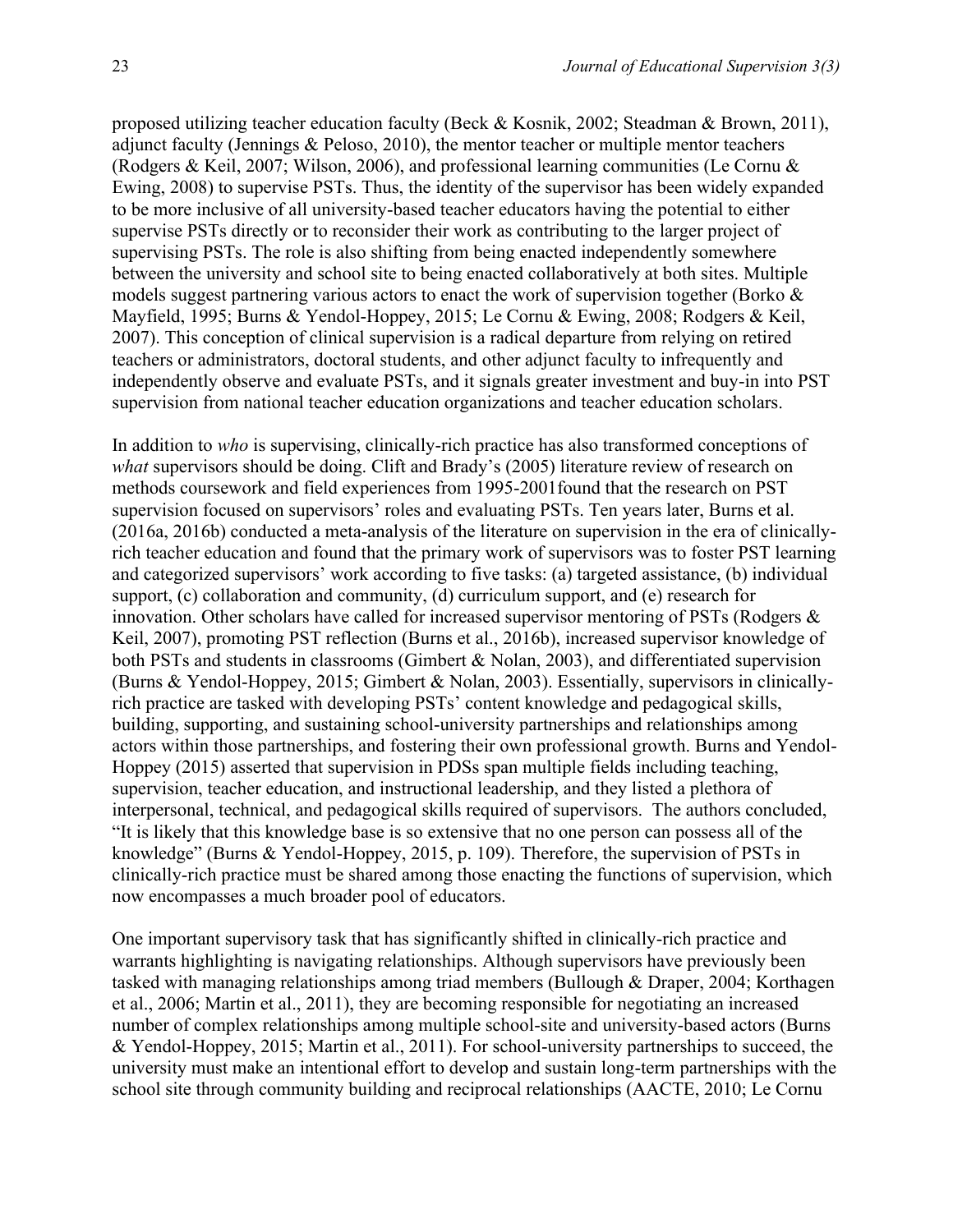proposed utilizing teacher education faculty (Beck & Kosnik, 2002; Steadman & Brown, 2011), adjunct faculty (Jennings & Peloso, 2010), the mentor teacher or multiple mentor teachers (Rodgers & Keil, 2007; Wilson, 2006), and professional learning communities (Le Cornu & Ewing, 2008) to supervise PSTs. Thus, the identity of the supervisor has been widely expanded to be more inclusive of all university-based teacher educators having the potential to either supervise PSTs directly or to reconsider their work as contributing to the larger project of supervising PSTs. The role is also shifting from being enacted independently somewhere between the university and school site to being enacted collaboratively at both sites. Multiple models suggest partnering various actors to enact the work of supervision together (Borko  $\&$ Mayfield, 1995; Burns & Yendol-Hoppey, 2015; Le Cornu & Ewing, 2008; Rodgers & Keil, 2007). This conception of clinical supervision is a radical departure from relying on retired teachers or administrators, doctoral students, and other adjunct faculty to infrequently and independently observe and evaluate PSTs, and it signals greater investment and buy-in into PST supervision from national teacher education organizations and teacher education scholars.

In addition to *who* is supervising, clinically-rich practice has also transformed conceptions of *what* supervisors should be doing. Clift and Brady's (2005) literature review of research on methods coursework and field experiences from 1995-2001found that the research on PST supervision focused on supervisors' roles and evaluating PSTs. Ten years later, Burns et al. (2016a, 2016b) conducted a meta-analysis of the literature on supervision in the era of clinicallyrich teacher education and found that the primary work of supervisors was to foster PST learning and categorized supervisors' work according to five tasks: (a) targeted assistance, (b) individual support, (c) collaboration and community, (d) curriculum support, and (e) research for innovation. Other scholars have called for increased supervisor mentoring of PSTs (Rodgers & Keil, 2007), promoting PST reflection (Burns et al., 2016b), increased supervisor knowledge of both PSTs and students in classrooms (Gimbert & Nolan, 2003), and differentiated supervision (Burns & Yendol-Hoppey, 2015; Gimbert & Nolan, 2003). Essentially, supervisors in clinicallyrich practice are tasked with developing PSTs' content knowledge and pedagogical skills, building, supporting, and sustaining school-university partnerships and relationships among actors within those partnerships, and fostering their own professional growth. Burns and Yendol-Hoppey (2015) asserted that supervision in PDSs span multiple fields including teaching, supervision, teacher education, and instructional leadership, and they listed a plethora of interpersonal, technical, and pedagogical skills required of supervisors. The authors concluded, "It is likely that this knowledge base is so extensive that no one person can possess all of the knowledge" (Burns & Yendol-Hoppey, 2015, p. 109). Therefore, the supervision of PSTs in clinically-rich practice must be shared among those enacting the functions of supervision, which now encompasses a much broader pool of educators.

One important supervisory task that has significantly shifted in clinically-rich practice and warrants highlighting is navigating relationships. Although supervisors have previously been tasked with managing relationships among triad members (Bullough & Draper, 2004; Korthagen et al., 2006; Martin et al., 2011), they are becoming responsible for negotiating an increased number of complex relationships among multiple school-site and university-based actors (Burns & Yendol-Hoppey, 2015; Martin et al., 2011). For school-university partnerships to succeed, the university must make an intentional effort to develop and sustain long-term partnerships with the school site through community building and reciprocal relationships (AACTE, 2010; Le Cornu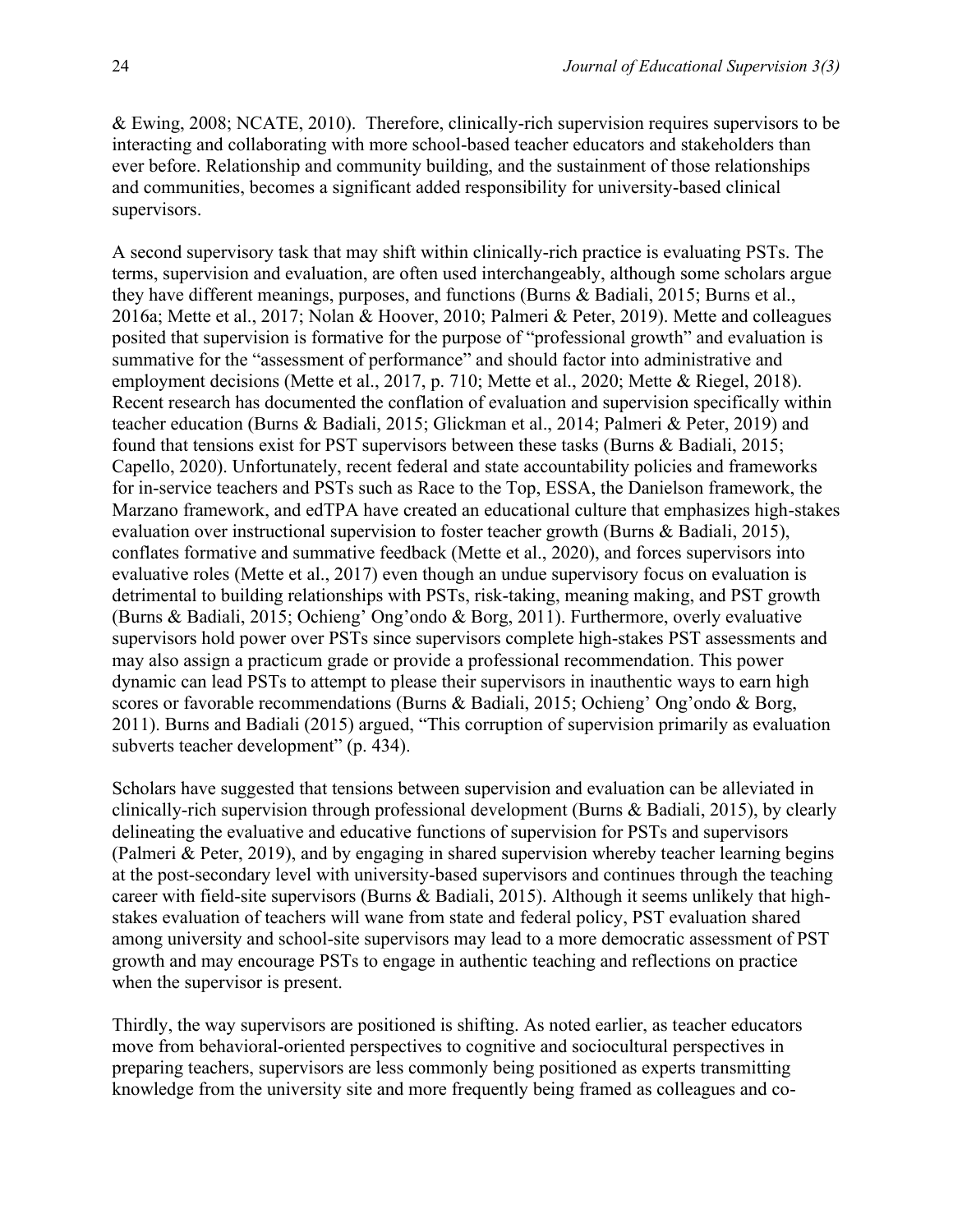& Ewing, 2008; NCATE, 2010). Therefore, clinically-rich supervision requires supervisors to be interacting and collaborating with more school-based teacher educators and stakeholders than ever before. Relationship and community building, and the sustainment of those relationships and communities, becomes a significant added responsibility for university-based clinical supervisors.

A second supervisory task that may shift within clinically-rich practice is evaluating PSTs. The terms, supervision and evaluation, are often used interchangeably, although some scholars argue they have different meanings, purposes, and functions (Burns & Badiali, 2015; Burns et al., 2016a; Mette et al., 2017; Nolan & Hoover, 2010; Palmeri & Peter, 2019). Mette and colleagues posited that supervision is formative for the purpose of "professional growth" and evaluation is summative for the "assessment of performance" and should factor into administrative and employment decisions (Mette et al., 2017, p. 710; Mette et al., 2020; Mette & Riegel, 2018). Recent research has documented the conflation of evaluation and supervision specifically within teacher education (Burns & Badiali, 2015; Glickman et al., 2014; Palmeri & Peter, 2019) and found that tensions exist for PST supervisors between these tasks (Burns & Badiali, 2015; Capello, 2020). Unfortunately, recent federal and state accountability policies and frameworks for in-service teachers and PSTs such as Race to the Top, ESSA, the Danielson framework, the Marzano framework, and edTPA have created an educational culture that emphasizes high-stakes evaluation over instructional supervision to foster teacher growth (Burns & Badiali, 2015), conflates formative and summative feedback (Mette et al., 2020), and forces supervisors into evaluative roles (Mette et al., 2017) even though an undue supervisory focus on evaluation is detrimental to building relationships with PSTs, risk-taking, meaning making, and PST growth (Burns & Badiali, 2015; Ochieng' Ong'ondo & Borg, 2011). Furthermore, overly evaluative supervisors hold power over PSTs since supervisors complete high-stakes PST assessments and may also assign a practicum grade or provide a professional recommendation. This power dynamic can lead PSTs to attempt to please their supervisors in inauthentic ways to earn high scores or favorable recommendations (Burns & Badiali, 2015; Ochieng' Ong'ondo & Borg, 2011). Burns and Badiali (2015) argued, "This corruption of supervision primarily as evaluation subverts teacher development" (p. 434).

Scholars have suggested that tensions between supervision and evaluation can be alleviated in clinically-rich supervision through professional development (Burns & Badiali, 2015), by clearly delineating the evaluative and educative functions of supervision for PSTs and supervisors (Palmeri & Peter, 2019), and by engaging in shared supervision whereby teacher learning begins at the post-secondary level with university-based supervisors and continues through the teaching career with field-site supervisors (Burns & Badiali, 2015). Although it seems unlikely that highstakes evaluation of teachers will wane from state and federal policy, PST evaluation shared among university and school-site supervisors may lead to a more democratic assessment of PST growth and may encourage PSTs to engage in authentic teaching and reflections on practice when the supervisor is present.

Thirdly, the way supervisors are positioned is shifting. As noted earlier, as teacher educators move from behavioral-oriented perspectives to cognitive and sociocultural perspectives in preparing teachers, supervisors are less commonly being positioned as experts transmitting knowledge from the university site and more frequently being framed as colleagues and co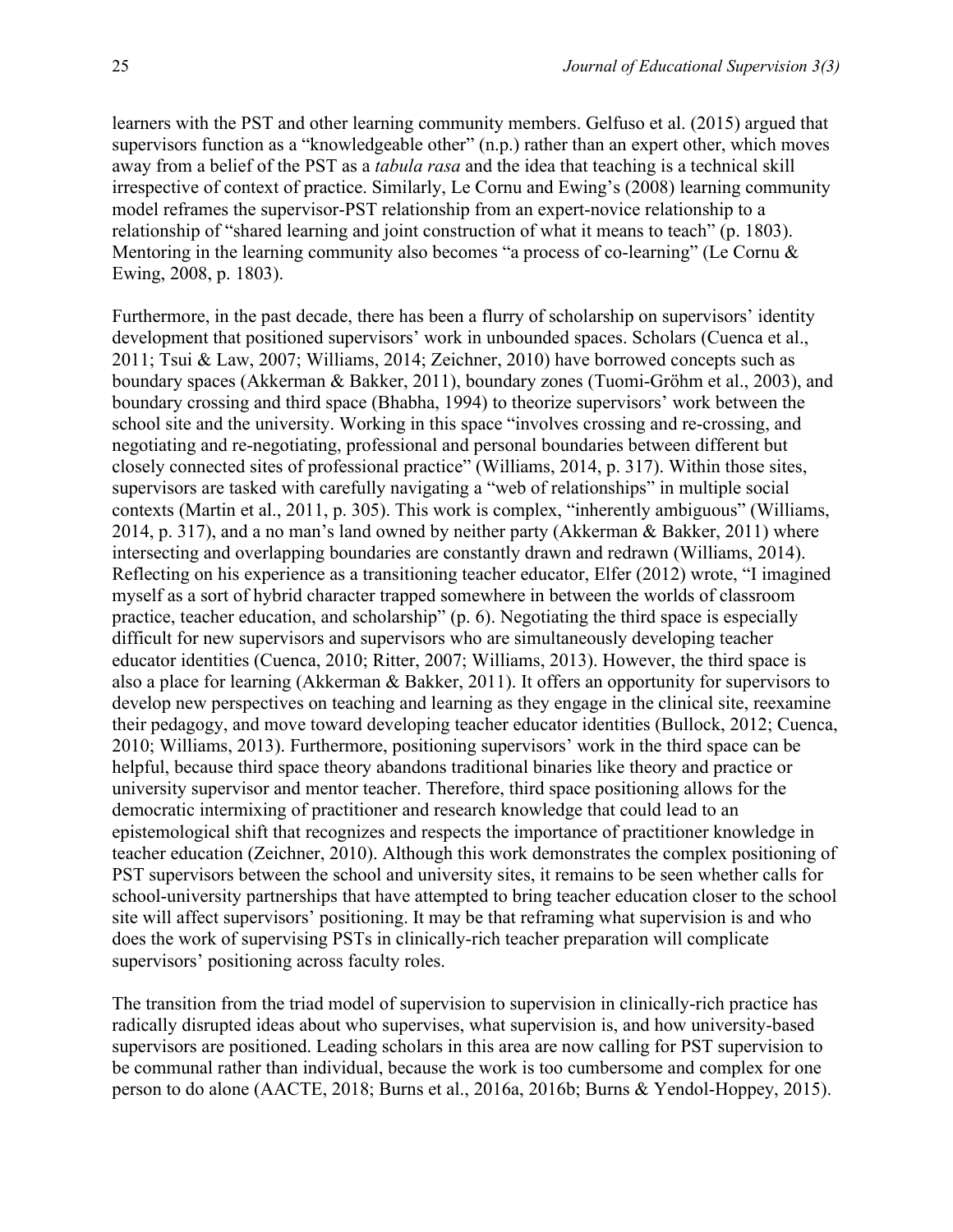learners with the PST and other learning community members. Gelfuso et al. (2015) argued that supervisors function as a "knowledgeable other" (n.p.) rather than an expert other, which moves away from a belief of the PST as a *tabula rasa* and the idea that teaching is a technical skill irrespective of context of practice. Similarly, Le Cornu and Ewing's (2008) learning community model reframes the supervisor-PST relationship from an expert-novice relationship to a relationship of "shared learning and joint construction of what it means to teach" (p. 1803). Mentoring in the learning community also becomes "a process of co-learning" (Le Cornu & Ewing, 2008, p. 1803).

Furthermore, in the past decade, there has been a flurry of scholarship on supervisors' identity development that positioned supervisors' work in unbounded spaces. Scholars (Cuenca et al., 2011; Tsui & Law, 2007; Williams, 2014; Zeichner, 2010) have borrowed concepts such as boundary spaces (Akkerman & Bakker, 2011), boundary zones (Tuomi-Gröhm et al., 2003), and boundary crossing and third space (Bhabha, 1994) to theorize supervisors' work between the school site and the university. Working in this space "involves crossing and re-crossing, and negotiating and re-negotiating, professional and personal boundaries between different but closely connected sites of professional practice" (Williams, 2014, p. 317). Within those sites, supervisors are tasked with carefully navigating a "web of relationships" in multiple social contexts (Martin et al., 2011, p. 305). This work is complex, "inherently ambiguous" (Williams, 2014, p. 317), and a no man's land owned by neither party (Akkerman & Bakker, 2011) where intersecting and overlapping boundaries are constantly drawn and redrawn (Williams, 2014). Reflecting on his experience as a transitioning teacher educator, Elfer (2012) wrote, "I imagined myself as a sort of hybrid character trapped somewhere in between the worlds of classroom practice, teacher education, and scholarship" (p. 6). Negotiating the third space is especially difficult for new supervisors and supervisors who are simultaneously developing teacher educator identities (Cuenca, 2010; Ritter, 2007; Williams, 2013). However, the third space is also a place for learning (Akkerman & Bakker, 2011). It offers an opportunity for supervisors to develop new perspectives on teaching and learning as they engage in the clinical site, reexamine their pedagogy, and move toward developing teacher educator identities (Bullock, 2012; Cuenca, 2010; Williams, 2013). Furthermore, positioning supervisors' work in the third space can be helpful, because third space theory abandons traditional binaries like theory and practice or university supervisor and mentor teacher. Therefore, third space positioning allows for the democratic intermixing of practitioner and research knowledge that could lead to an epistemological shift that recognizes and respects the importance of practitioner knowledge in teacher education (Zeichner, 2010). Although this work demonstrates the complex positioning of PST supervisors between the school and university sites, it remains to be seen whether calls for school-university partnerships that have attempted to bring teacher education closer to the school site will affect supervisors' positioning. It may be that reframing what supervision is and who does the work of supervising PSTs in clinically-rich teacher preparation will complicate supervisors' positioning across faculty roles.

The transition from the triad model of supervision to supervision in clinically-rich practice has radically disrupted ideas about who supervises, what supervision is, and how university-based supervisors are positioned. Leading scholars in this area are now calling for PST supervision to be communal rather than individual, because the work is too cumbersome and complex for one person to do alone (AACTE, 2018; Burns et al., 2016a, 2016b; Burns & Yendol-Hoppey, 2015).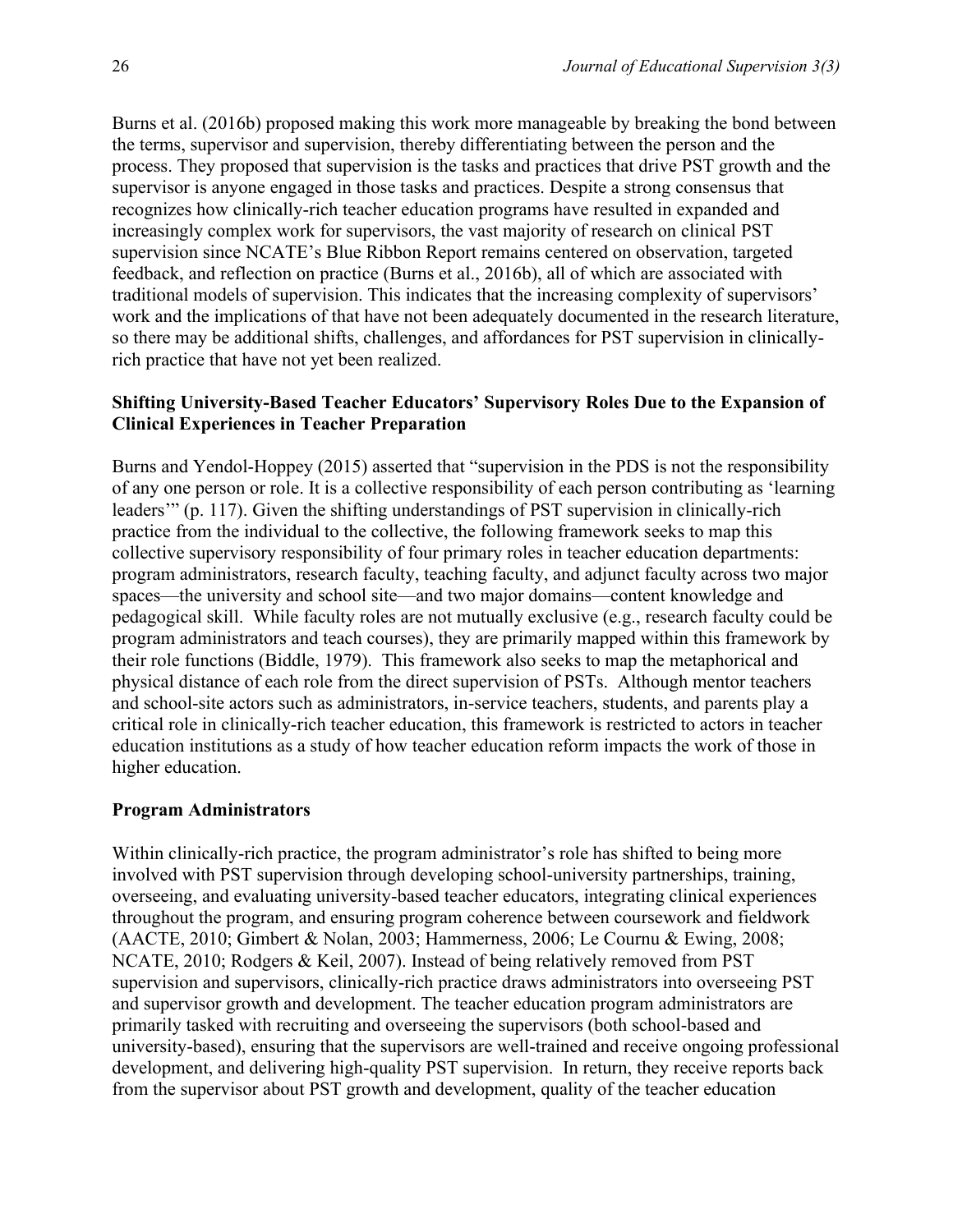Burns et al. (2016b) proposed making this work more manageable by breaking the bond between the terms, supervisor and supervision, thereby differentiating between the person and the process. They proposed that supervision is the tasks and practices that drive PST growth and the supervisor is anyone engaged in those tasks and practices. Despite a strong consensus that recognizes how clinically-rich teacher education programs have resulted in expanded and increasingly complex work for supervisors, the vast majority of research on clinical PST supervision since NCATE's Blue Ribbon Report remains centered on observation, targeted feedback, and reflection on practice (Burns et al., 2016b), all of which are associated with traditional models of supervision. This indicates that the increasing complexity of supervisors' work and the implications of that have not been adequately documented in the research literature, so there may be additional shifts, challenges, and affordances for PST supervision in clinicallyrich practice that have not yet been realized.

### **Shifting University-Based Teacher Educators' Supervisory Roles Due to the Expansion of Clinical Experiences in Teacher Preparation**

Burns and Yendol-Hoppey (2015) asserted that "supervision in the PDS is not the responsibility of any one person or role. It is a collective responsibility of each person contributing as 'learning leaders'" (p. 117). Given the shifting understandings of PST supervision in clinically-rich practice from the individual to the collective, the following framework seeks to map this collective supervisory responsibility of four primary roles in teacher education departments: program administrators, research faculty, teaching faculty, and adjunct faculty across two major spaces—the university and school site—and two major domains—content knowledge and pedagogical skill. While faculty roles are not mutually exclusive (e.g., research faculty could be program administrators and teach courses), they are primarily mapped within this framework by their role functions (Biddle, 1979). This framework also seeks to map the metaphorical and physical distance of each role from the direct supervision of PSTs. Although mentor teachers and school-site actors such as administrators, in-service teachers, students, and parents play a critical role in clinically-rich teacher education, this framework is restricted to actors in teacher education institutions as a study of how teacher education reform impacts the work of those in higher education.

#### **Program Administrators**

Within clinically-rich practice, the program administrator's role has shifted to being more involved with PST supervision through developing school-university partnerships, training, overseeing, and evaluating university-based teacher educators, integrating clinical experiences throughout the program, and ensuring program coherence between coursework and fieldwork (AACTE, 2010; Gimbert & Nolan, 2003; Hammerness, 2006; Le Cournu & Ewing, 2008; NCATE, 2010; Rodgers & Keil, 2007). Instead of being relatively removed from PST supervision and supervisors, clinically-rich practice draws administrators into overseeing PST and supervisor growth and development. The teacher education program administrators are primarily tasked with recruiting and overseeing the supervisors (both school-based and university-based), ensuring that the supervisors are well-trained and receive ongoing professional development, and delivering high-quality PST supervision. In return, they receive reports back from the supervisor about PST growth and development, quality of the teacher education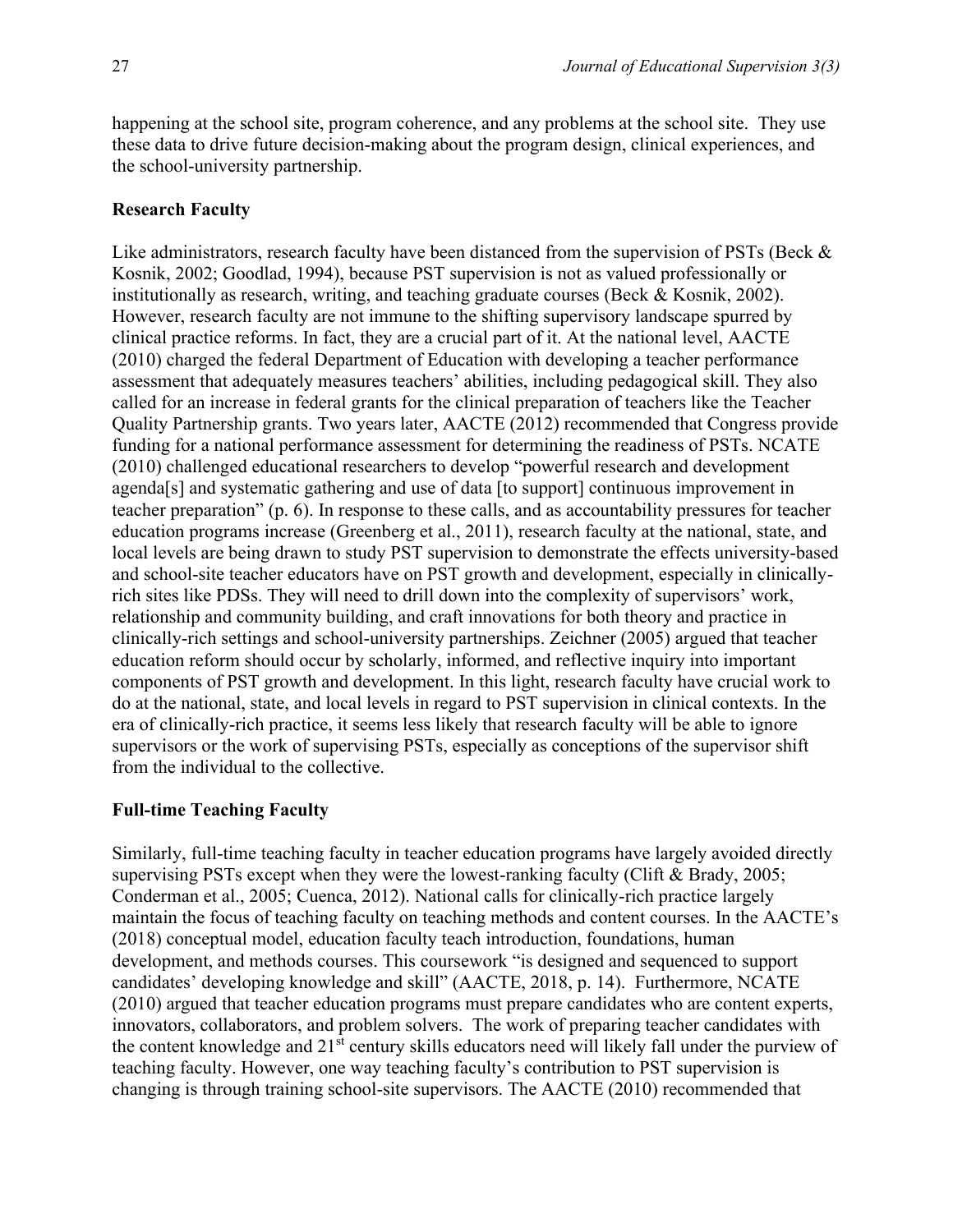happening at the school site, program coherence, and any problems at the school site. They use these data to drive future decision-making about the program design, clinical experiences, and the school-university partnership.

#### **Research Faculty**

Like administrators, research faculty have been distanced from the supervision of PSTs (Beck & Kosnik, 2002; Goodlad, 1994), because PST supervision is not as valued professionally or institutionally as research, writing, and teaching graduate courses (Beck & Kosnik, 2002). However, research faculty are not immune to the shifting supervisory landscape spurred by clinical practice reforms. In fact, they are a crucial part of it. At the national level, AACTE (2010) charged the federal Department of Education with developing a teacher performance assessment that adequately measures teachers' abilities, including pedagogical skill. They also called for an increase in federal grants for the clinical preparation of teachers like the Teacher Quality Partnership grants. Two years later, AACTE (2012) recommended that Congress provide funding for a national performance assessment for determining the readiness of PSTs. NCATE (2010) challenged educational researchers to develop "powerful research and development agenda[s] and systematic gathering and use of data [to support] continuous improvement in teacher preparation" (p. 6). In response to these calls, and as accountability pressures for teacher education programs increase (Greenberg et al., 2011), research faculty at the national, state, and local levels are being drawn to study PST supervision to demonstrate the effects university-based and school-site teacher educators have on PST growth and development, especially in clinicallyrich sites like PDSs. They will need to drill down into the complexity of supervisors' work, relationship and community building, and craft innovations for both theory and practice in clinically-rich settings and school-university partnerships. Zeichner (2005) argued that teacher education reform should occur by scholarly, informed, and reflective inquiry into important components of PST growth and development. In this light, research faculty have crucial work to do at the national, state, and local levels in regard to PST supervision in clinical contexts. In the era of clinically-rich practice, it seems less likely that research faculty will be able to ignore supervisors or the work of supervising PSTs, especially as conceptions of the supervisor shift from the individual to the collective.

#### **Full-time Teaching Faculty**

Similarly, full-time teaching faculty in teacher education programs have largely avoided directly supervising PSTs except when they were the lowest-ranking faculty (Clift  $&$  Brady, 2005; Conderman et al., 2005; Cuenca, 2012). National calls for clinically-rich practice largely maintain the focus of teaching faculty on teaching methods and content courses. In the AACTE's (2018) conceptual model, education faculty teach introduction, foundations, human development, and methods courses. This coursework "is designed and sequenced to support candidates' developing knowledge and skill" (AACTE, 2018, p. 14). Furthermore, NCATE (2010) argued that teacher education programs must prepare candidates who are content experts, innovators, collaborators, and problem solvers. The work of preparing teacher candidates with the content knowledge and  $21^{st}$  century skills educators need will likely fall under the purview of teaching faculty. However, one way teaching faculty's contribution to PST supervision is changing is through training school-site supervisors. The AACTE (2010) recommended that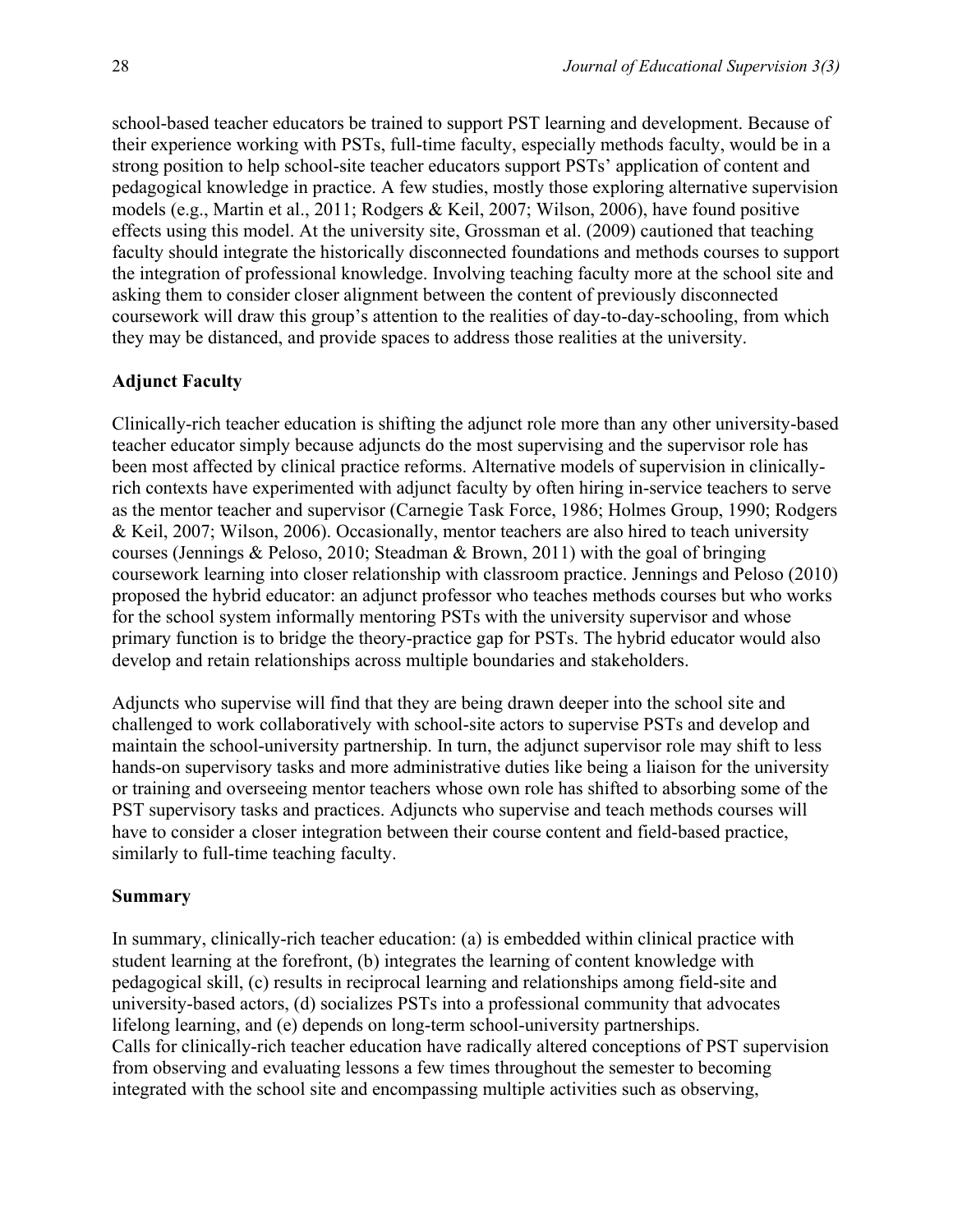school-based teacher educators be trained to support PST learning and development. Because of their experience working with PSTs, full-time faculty, especially methods faculty, would be in a strong position to help school-site teacher educators support PSTs' application of content and pedagogical knowledge in practice. A few studies, mostly those exploring alternative supervision models (e.g., Martin et al., 2011; Rodgers & Keil, 2007; Wilson, 2006), have found positive effects using this model. At the university site, Grossman et al. (2009) cautioned that teaching faculty should integrate the historically disconnected foundations and methods courses to support the integration of professional knowledge. Involving teaching faculty more at the school site and asking them to consider closer alignment between the content of previously disconnected coursework will draw this group's attention to the realities of day-to-day-schooling, from which they may be distanced, and provide spaces to address those realities at the university.

#### **Adjunct Faculty**

Clinically-rich teacher education is shifting the adjunct role more than any other university-based teacher educator simply because adjuncts do the most supervising and the supervisor role has been most affected by clinical practice reforms. Alternative models of supervision in clinicallyrich contexts have experimented with adjunct faculty by often hiring in-service teachers to serve as the mentor teacher and supervisor (Carnegie Task Force, 1986; Holmes Group, 1990; Rodgers & Keil, 2007; Wilson, 2006). Occasionally, mentor teachers are also hired to teach university courses (Jennings & Peloso, 2010; Steadman & Brown, 2011) with the goal of bringing coursework learning into closer relationship with classroom practice. Jennings and Peloso (2010) proposed the hybrid educator: an adjunct professor who teaches methods courses but who works for the school system informally mentoring PSTs with the university supervisor and whose primary function is to bridge the theory-practice gap for PSTs. The hybrid educator would also develop and retain relationships across multiple boundaries and stakeholders.

Adjuncts who supervise will find that they are being drawn deeper into the school site and challenged to work collaboratively with school-site actors to supervise PSTs and develop and maintain the school-university partnership. In turn, the adjunct supervisor role may shift to less hands-on supervisory tasks and more administrative duties like being a liaison for the university or training and overseeing mentor teachers whose own role has shifted to absorbing some of the PST supervisory tasks and practices. Adjuncts who supervise and teach methods courses will have to consider a closer integration between their course content and field-based practice, similarly to full-time teaching faculty.

#### **Summary**

In summary, clinically-rich teacher education: (a) is embedded within clinical practice with student learning at the forefront, (b) integrates the learning of content knowledge with pedagogical skill, (c) results in reciprocal learning and relationships among field-site and university-based actors, (d) socializes PSTs into a professional community that advocates lifelong learning, and (e) depends on long-term school-university partnerships. Calls for clinically-rich teacher education have radically altered conceptions of PST supervision from observing and evaluating lessons a few times throughout the semester to becoming integrated with the school site and encompassing multiple activities such as observing,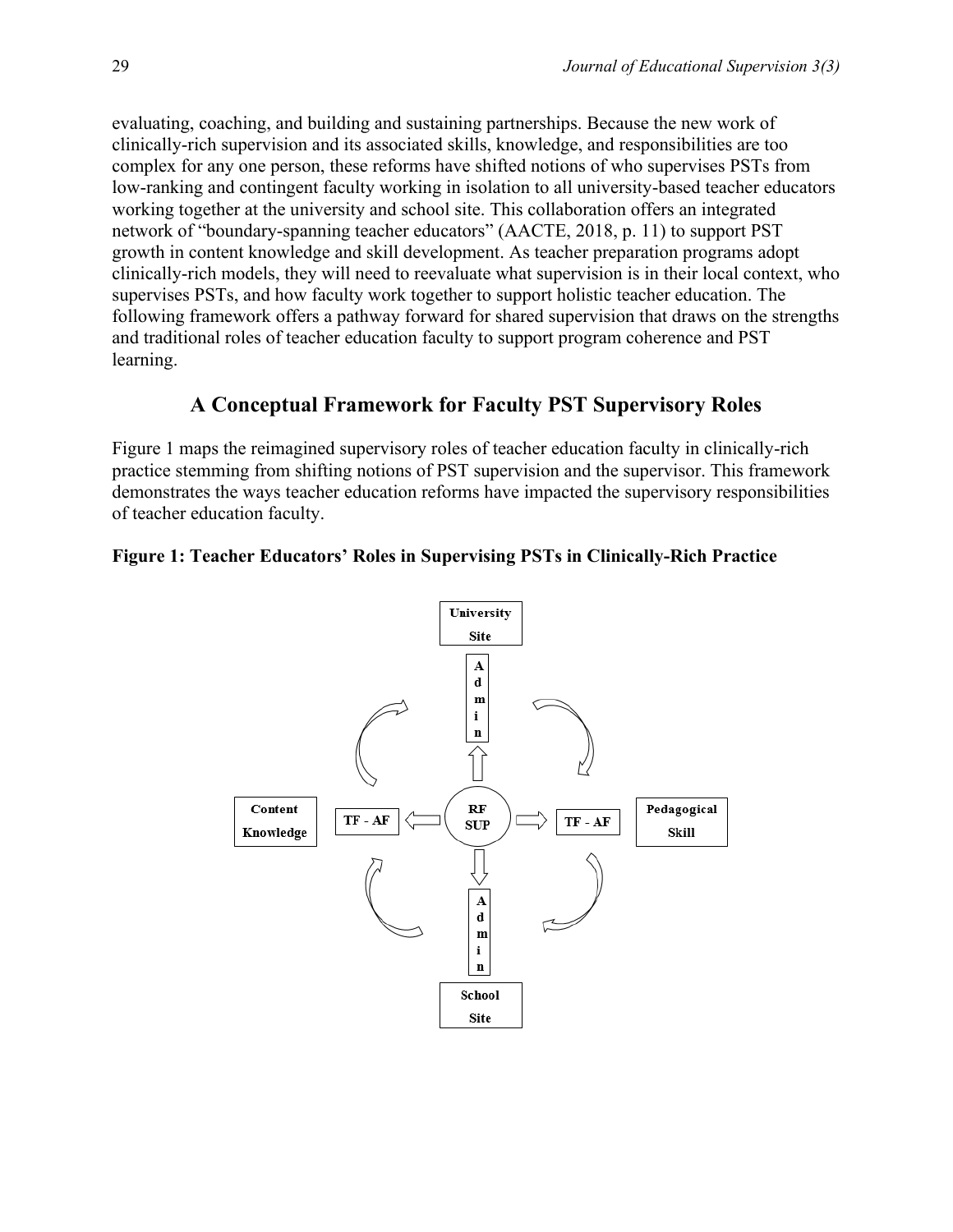evaluating, coaching, and building and sustaining partnerships. Because the new work of clinically-rich supervision and its associated skills, knowledge, and responsibilities are too complex for any one person, these reforms have shifted notions of who supervises PSTs from low-ranking and contingent faculty working in isolation to all university-based teacher educators working together at the university and school site. This collaboration offers an integrated network of "boundary-spanning teacher educators" (AACTE, 2018, p. 11) to support PST growth in content knowledge and skill development. As teacher preparation programs adopt clinically-rich models, they will need to reevaluate what supervision is in their local context, who supervises PSTs, and how faculty work together to support holistic teacher education. The following framework offers a pathway forward for shared supervision that draws on the strengths and traditional roles of teacher education faculty to support program coherence and PST learning.

## **A Conceptual Framework for Faculty PST Supervisory Roles**

Figure 1 maps the reimagined supervisory roles of teacher education faculty in clinically-rich practice stemming from shifting notions of PST supervision and the supervisor. This framework demonstrates the ways teacher education reforms have impacted the supervisory responsibilities of teacher education faculty.

#### **Figure 1: Teacher Educators' Roles in Supervising PSTs in Clinically-Rich Practice**

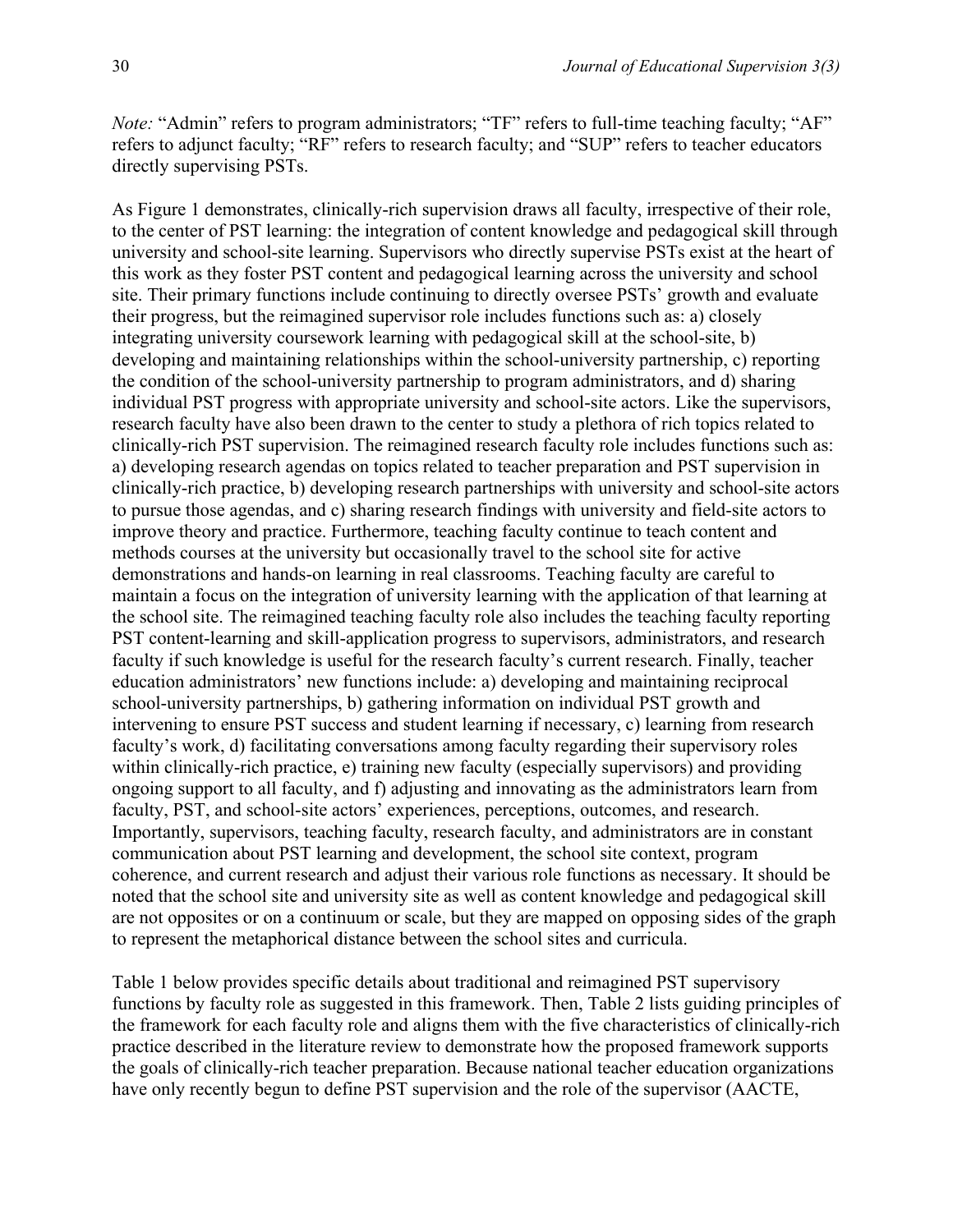*Note:* "Admin" refers to program administrators; "TF" refers to full-time teaching faculty; "AF" refers to adjunct faculty; "RF" refers to research faculty; and "SUP" refers to teacher educators directly supervising PSTs.

As Figure 1 demonstrates, clinically-rich supervision draws all faculty, irrespective of their role, to the center of PST learning: the integration of content knowledge and pedagogical skill through university and school-site learning. Supervisors who directly supervise PSTs exist at the heart of this work as they foster PST content and pedagogical learning across the university and school site. Their primary functions include continuing to directly oversee PSTs' growth and evaluate their progress, but the reimagined supervisor role includes functions such as: a) closely integrating university coursework learning with pedagogical skill at the school-site, b) developing and maintaining relationships within the school-university partnership, c) reporting the condition of the school-university partnership to program administrators, and d) sharing individual PST progress with appropriate university and school-site actors. Like the supervisors, research faculty have also been drawn to the center to study a plethora of rich topics related to clinically-rich PST supervision. The reimagined research faculty role includes functions such as: a) developing research agendas on topics related to teacher preparation and PST supervision in clinically-rich practice, b) developing research partnerships with university and school-site actors to pursue those agendas, and c) sharing research findings with university and field-site actors to improve theory and practice. Furthermore, teaching faculty continue to teach content and methods courses at the university but occasionally travel to the school site for active demonstrations and hands-on learning in real classrooms. Teaching faculty are careful to maintain a focus on the integration of university learning with the application of that learning at the school site. The reimagined teaching faculty role also includes the teaching faculty reporting PST content-learning and skill-application progress to supervisors, administrators, and research faculty if such knowledge is useful for the research faculty's current research. Finally, teacher education administrators' new functions include: a) developing and maintaining reciprocal school-university partnerships, b) gathering information on individual PST growth and intervening to ensure PST success and student learning if necessary, c) learning from research faculty's work, d) facilitating conversations among faculty regarding their supervisory roles within clinically-rich practice, e) training new faculty (especially supervisors) and providing ongoing support to all faculty, and f) adjusting and innovating as the administrators learn from faculty, PST, and school-site actors' experiences, perceptions, outcomes, and research. Importantly, supervisors, teaching faculty, research faculty, and administrators are in constant communication about PST learning and development, the school site context, program coherence, and current research and adjust their various role functions as necessary. It should be noted that the school site and university site as well as content knowledge and pedagogical skill are not opposites or on a continuum or scale, but they are mapped on opposing sides of the graph to represent the metaphorical distance between the school sites and curricula.

Table 1 below provides specific details about traditional and reimagined PST supervisory functions by faculty role as suggested in this framework. Then, Table 2 lists guiding principles of the framework for each faculty role and aligns them with the five characteristics of clinically-rich practice described in the literature review to demonstrate how the proposed framework supports the goals of clinically-rich teacher preparation. Because national teacher education organizations have only recently begun to define PST supervision and the role of the supervisor (AACTE,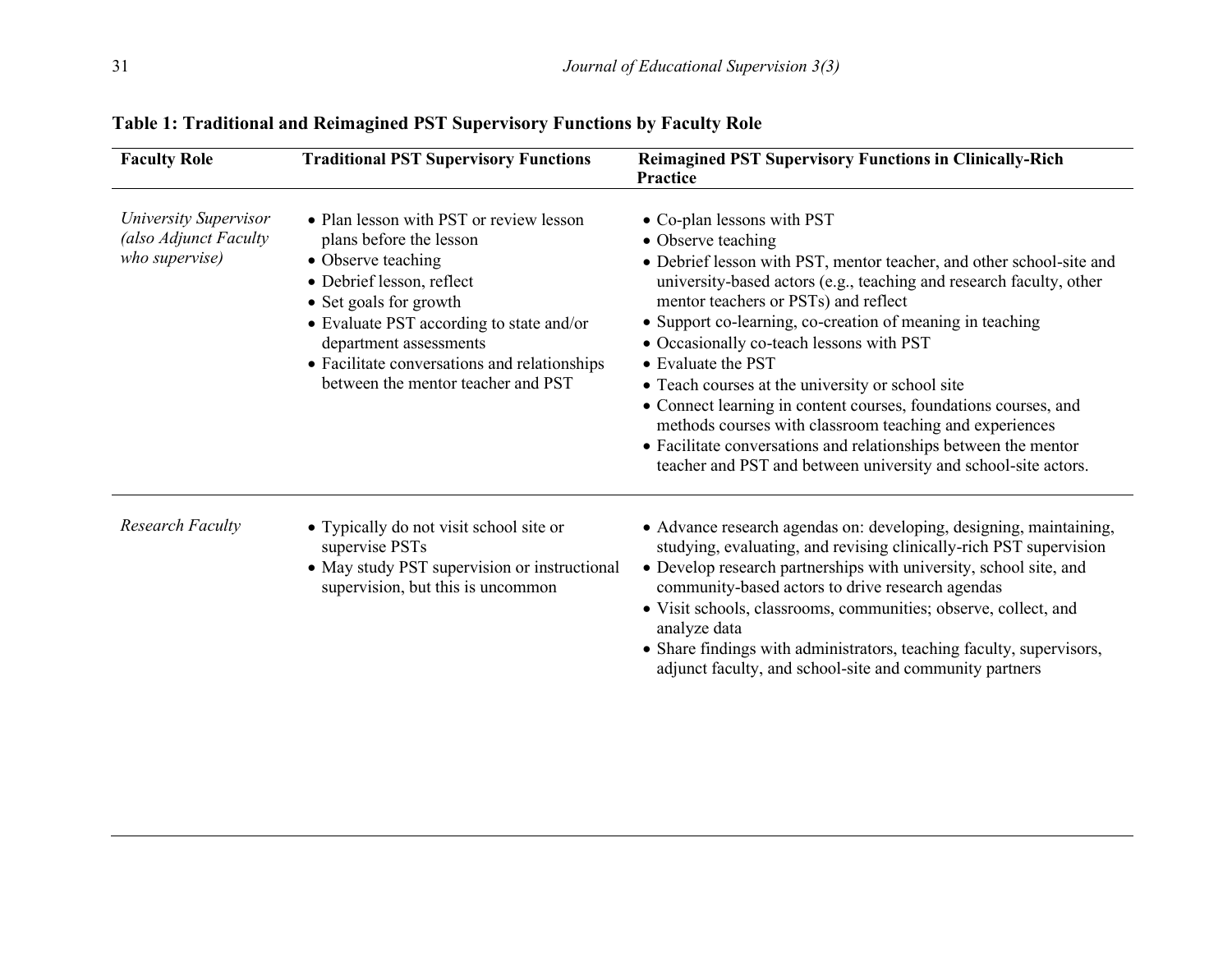| <b>Faculty Role</b>                                                     | <b>Traditional PST Supervisory Functions</b>                                                                                                                                                                                                                                                                | <b>Reimagined PST Supervisory Functions in Clinically-Rich</b><br>Practice                                                                                                                                                                                                                                                                                                                                                                                                                                                                                                                                                                                                                    |
|-------------------------------------------------------------------------|-------------------------------------------------------------------------------------------------------------------------------------------------------------------------------------------------------------------------------------------------------------------------------------------------------------|-----------------------------------------------------------------------------------------------------------------------------------------------------------------------------------------------------------------------------------------------------------------------------------------------------------------------------------------------------------------------------------------------------------------------------------------------------------------------------------------------------------------------------------------------------------------------------------------------------------------------------------------------------------------------------------------------|
| <b>University Supervisor</b><br>(also Adjunct Faculty<br>who supervise) | • Plan lesson with PST or review lesson<br>plans before the lesson<br>• Observe teaching<br>• Debrief lesson, reflect<br>• Set goals for growth<br>• Evaluate PST according to state and/or<br>department assessments<br>• Facilitate conversations and relationships<br>between the mentor teacher and PST | • Co-plan lessons with PST<br>• Observe teaching<br>• Debrief lesson with PST, mentor teacher, and other school-site and<br>university-based actors (e.g., teaching and research faculty, other<br>mentor teachers or PSTs) and reflect<br>• Support co-learning, co-creation of meaning in teaching<br>• Occasionally co-teach lessons with PST<br>• Evaluate the PST<br>• Teach courses at the university or school site<br>• Connect learning in content courses, foundations courses, and<br>methods courses with classroom teaching and experiences<br>• Facilitate conversations and relationships between the mentor<br>teacher and PST and between university and school-site actors. |
| <b>Research Faculty</b>                                                 | • Typically do not visit school site or<br>supervise PSTs<br>• May study PST supervision or instructional<br>supervision, but this is uncommon                                                                                                                                                              | • Advance research agendas on: developing, designing, maintaining,<br>studying, evaluating, and revising clinically-rich PST supervision<br>• Develop research partnerships with university, school site, and<br>community-based actors to drive research agendas<br>• Visit schools, classrooms, communities; observe, collect, and<br>analyze data<br>• Share findings with administrators, teaching faculty, supervisors,<br>adjunct faculty, and school-site and community partners                                                                                                                                                                                                       |

## **Table 1: Traditional and Reimagined PST Supervisory Functions by Faculty Role**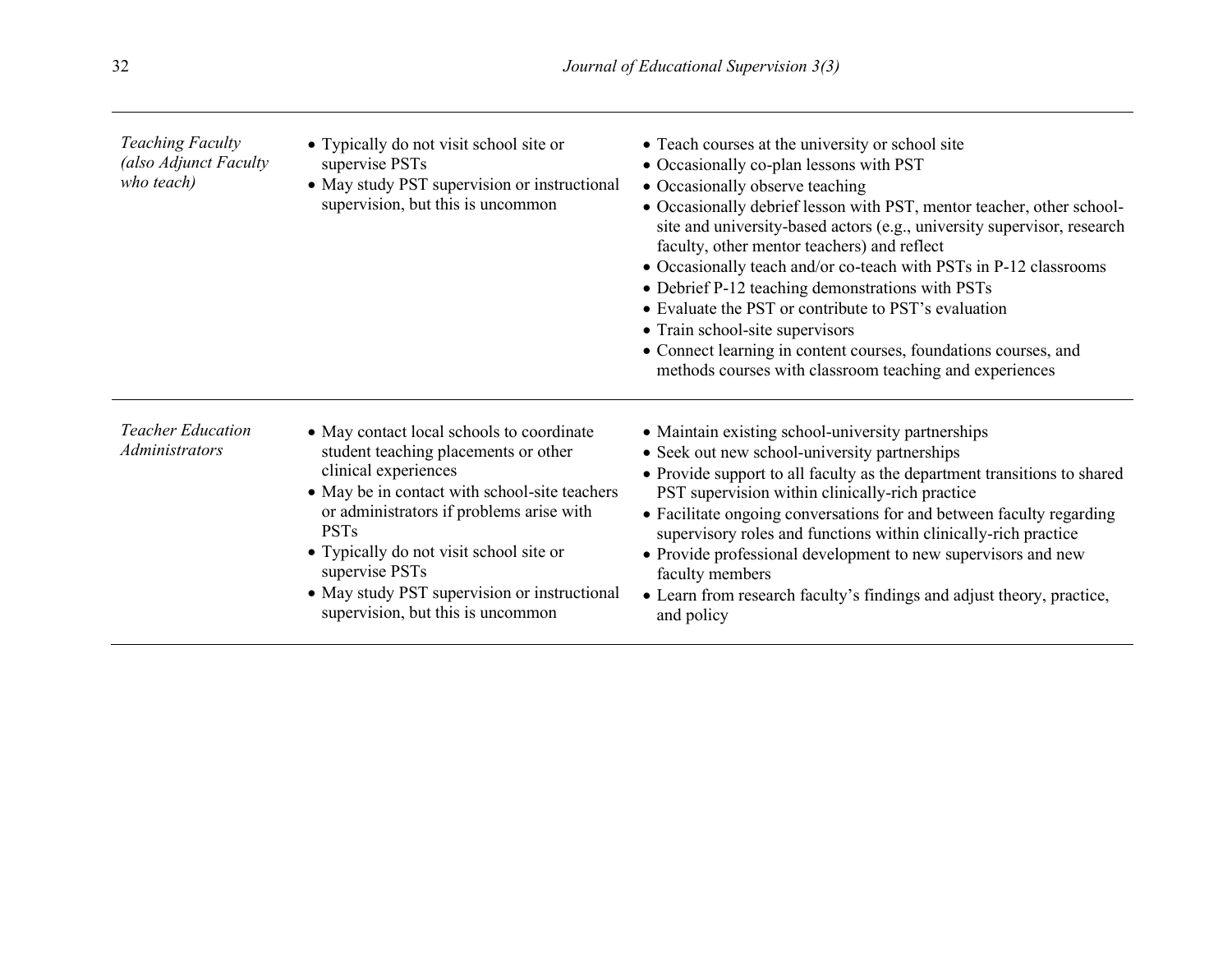| <b>Teaching Faculty</b><br>(also Adjunct Faculty<br>who teach) | • Typically do not visit school site or<br>supervise PSTs<br>• May study PST supervision or instructional<br>supervision, but this is uncommon                                                                                                                                                                                                                          | • Teach courses at the university or school site<br>• Occasionally co-plan lessons with PST<br>• Occasionally observe teaching<br>• Occasionally debrief lesson with PST, mentor teacher, other school-<br>site and university-based actors (e.g., university supervisor, research<br>faculty, other mentor teachers) and reflect<br>• Occasionally teach and/or co-teach with PSTs in P-12 classrooms<br>• Debrief P-12 teaching demonstrations with PSTs<br>• Evaluate the PST or contribute to PST's evaluation<br>• Train school-site supervisors<br>• Connect learning in content courses, foundations courses, and<br>methods courses with classroom teaching and experiences |
|----------------------------------------------------------------|-------------------------------------------------------------------------------------------------------------------------------------------------------------------------------------------------------------------------------------------------------------------------------------------------------------------------------------------------------------------------|-------------------------------------------------------------------------------------------------------------------------------------------------------------------------------------------------------------------------------------------------------------------------------------------------------------------------------------------------------------------------------------------------------------------------------------------------------------------------------------------------------------------------------------------------------------------------------------------------------------------------------------------------------------------------------------|
| <b>Teacher Education</b><br><b>Administrators</b>              | • May contact local schools to coordinate<br>student teaching placements or other<br>clinical experiences<br>• May be in contact with school-site teachers<br>or administrators if problems arise with<br><b>PSTs</b><br>• Typically do not visit school site or<br>supervise PSTs<br>• May study PST supervision or instructional<br>supervision, but this is uncommon | • Maintain existing school-university partnerships<br>• Seek out new school-university partnerships<br>• Provide support to all faculty as the department transitions to shared<br>PST supervision within clinically-rich practice<br>• Facilitate ongoing conversations for and between faculty regarding<br>supervisory roles and functions within clinically-rich practice<br>• Provide professional development to new supervisors and new<br>faculty members<br>• Learn from research faculty's findings and adjust theory, practice,<br>and policy                                                                                                                            |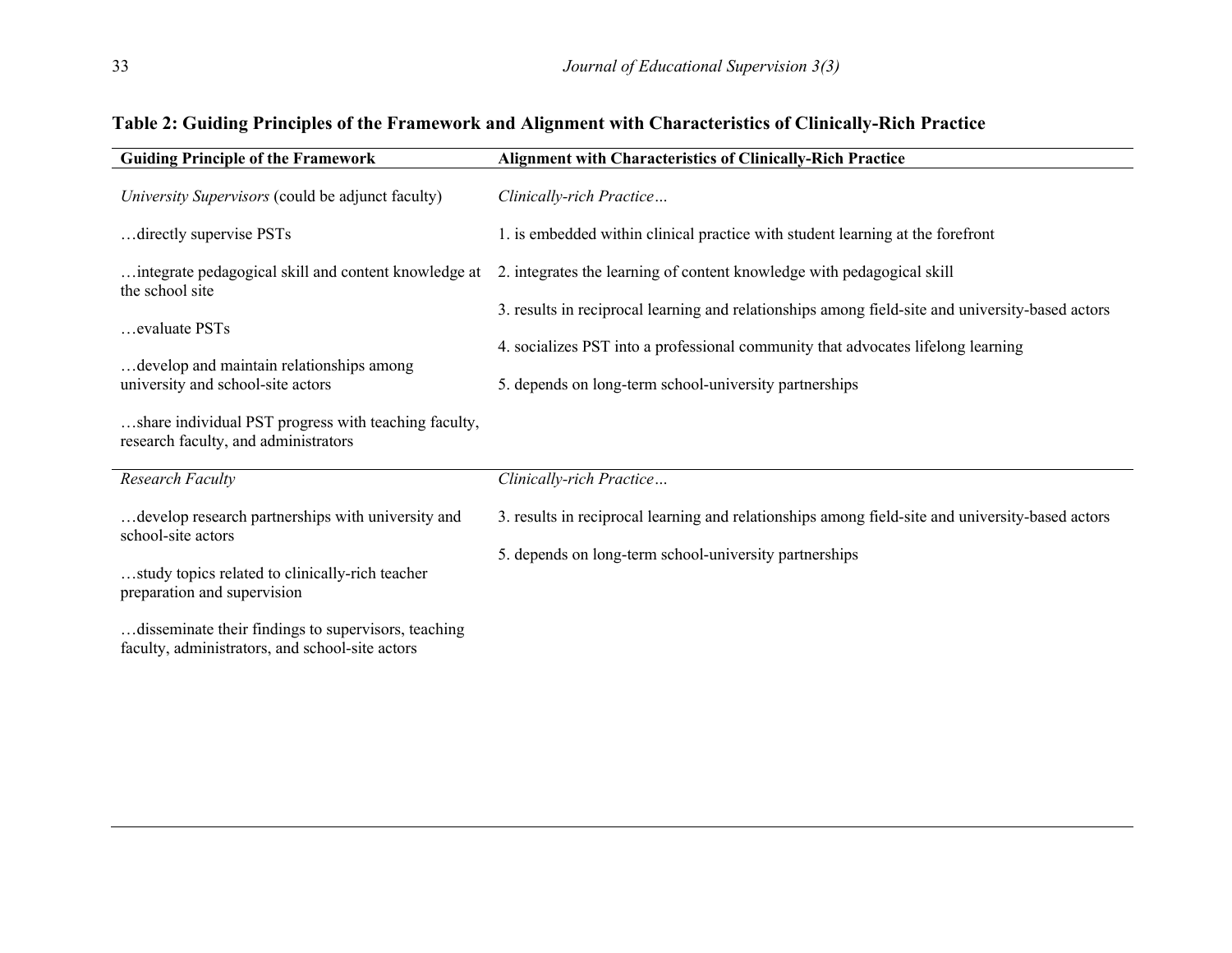| <b>Guiding Principle of the Framework</b>                                                              | <b>Alignment with Characteristics of Clinically-Rich Practice</b>                                |
|--------------------------------------------------------------------------------------------------------|--------------------------------------------------------------------------------------------------|
| University Supervisors (could be adjunct faculty)                                                      | Clinically-rich Practice                                                                         |
| directly supervise PSTs                                                                                | 1. is embedded within clinical practice with student learning at the forefront                   |
| integrate pedagogical skill and content knowledge at<br>the school site                                | 2. integrates the learning of content knowledge with pedagogical skill                           |
| evaluate PSTs                                                                                          | 3. results in reciprocal learning and relationships among field-site and university-based actors |
|                                                                                                        | 4. socializes PST into a professional community that advocates lifelong learning                 |
| develop and maintain relationships among<br>university and school-site actors                          | 5. depends on long-term school-university partnerships                                           |
| share individual PST progress with teaching faculty,<br>research faculty, and administrators           |                                                                                                  |
| <b>Research Faculty</b>                                                                                | Clinically-rich Practice                                                                         |
| develop research partnerships with university and<br>school-site actors                                | 3. results in reciprocal learning and relationships among field-site and university-based actors |
| study topics related to clinically-rich teacher<br>preparation and supervision                         | 5. depends on long-term school-university partnerships                                           |
| disseminate their findings to supervisors, teaching<br>faculty, administrators, and school-site actors |                                                                                                  |

## **Table 2: Guiding Principles of the Framework and Alignment with Characteristics of Clinically-Rich Practice**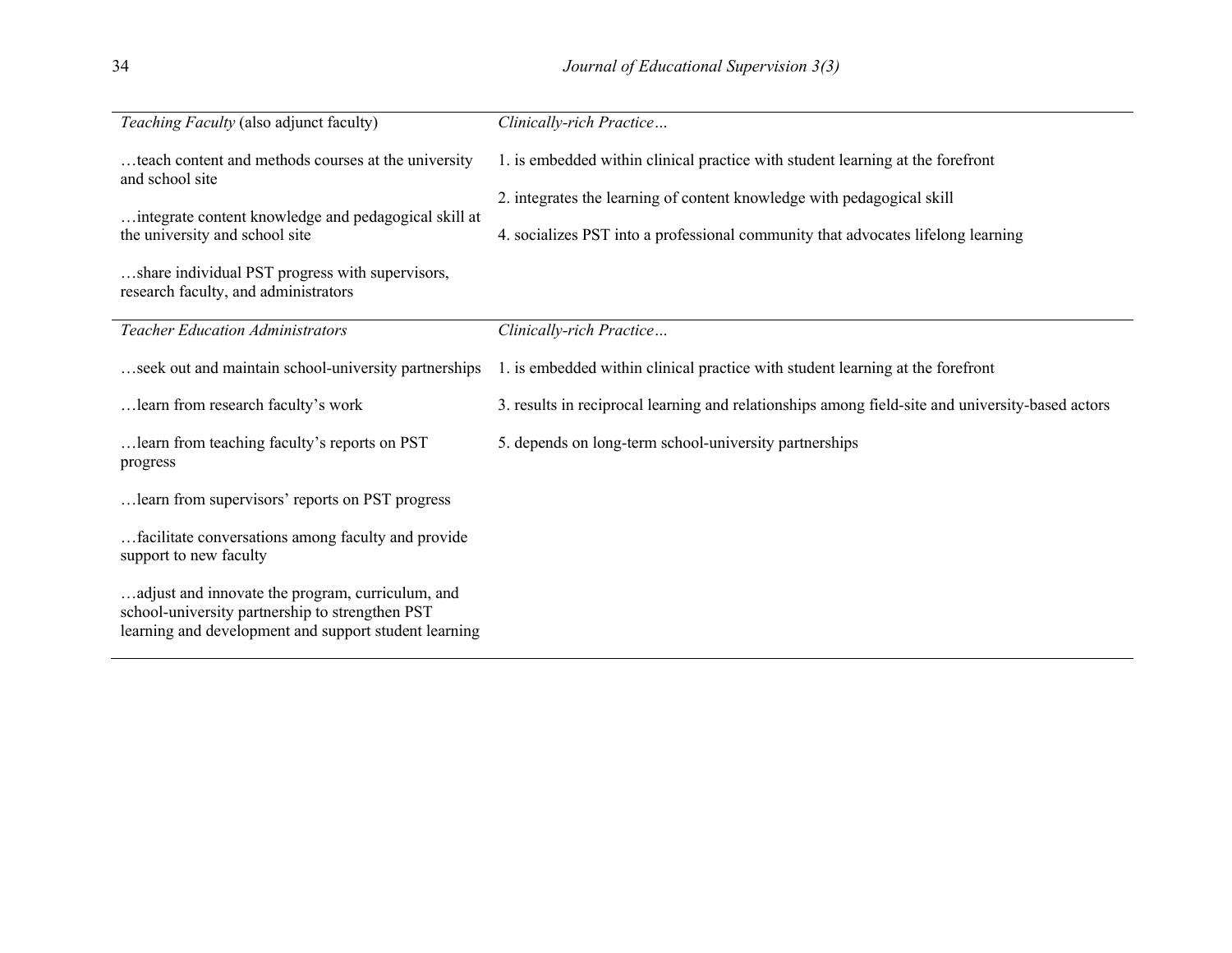| Teaching Faculty (also adjunct faculty)                                                                                                                      | Clinically-rich Practice                                                                         |
|--------------------------------------------------------------------------------------------------------------------------------------------------------------|--------------------------------------------------------------------------------------------------|
| teach content and methods courses at the university<br>and school site                                                                                       | 1. is embedded within clinical practice with student learning at the forefront                   |
|                                                                                                                                                              | 2. integrates the learning of content knowledge with pedagogical skill                           |
| integrate content knowledge and pedagogical skill at<br>the university and school site                                                                       | 4. socializes PST into a professional community that advocates lifelong learning                 |
| share individual PST progress with supervisors,<br>research faculty, and administrators                                                                      |                                                                                                  |
| <b>Teacher Education Administrators</b>                                                                                                                      | Clinically-rich Practice                                                                         |
| seek out and maintain school-university partnerships                                                                                                         | 1. is embedded within clinical practice with student learning at the forefront                   |
| learn from research faculty's work                                                                                                                           | 3. results in reciprocal learning and relationships among field-site and university-based actors |
| learn from teaching faculty's reports on PST<br>progress                                                                                                     | 5. depends on long-term school-university partnerships                                           |
| learn from supervisors' reports on PST progress                                                                                                              |                                                                                                  |
| facilitate conversations among faculty and provide<br>support to new faculty                                                                                 |                                                                                                  |
| adjust and innovate the program, curriculum, and<br>school-university partnership to strengthen PST<br>learning and development and support student learning |                                                                                                  |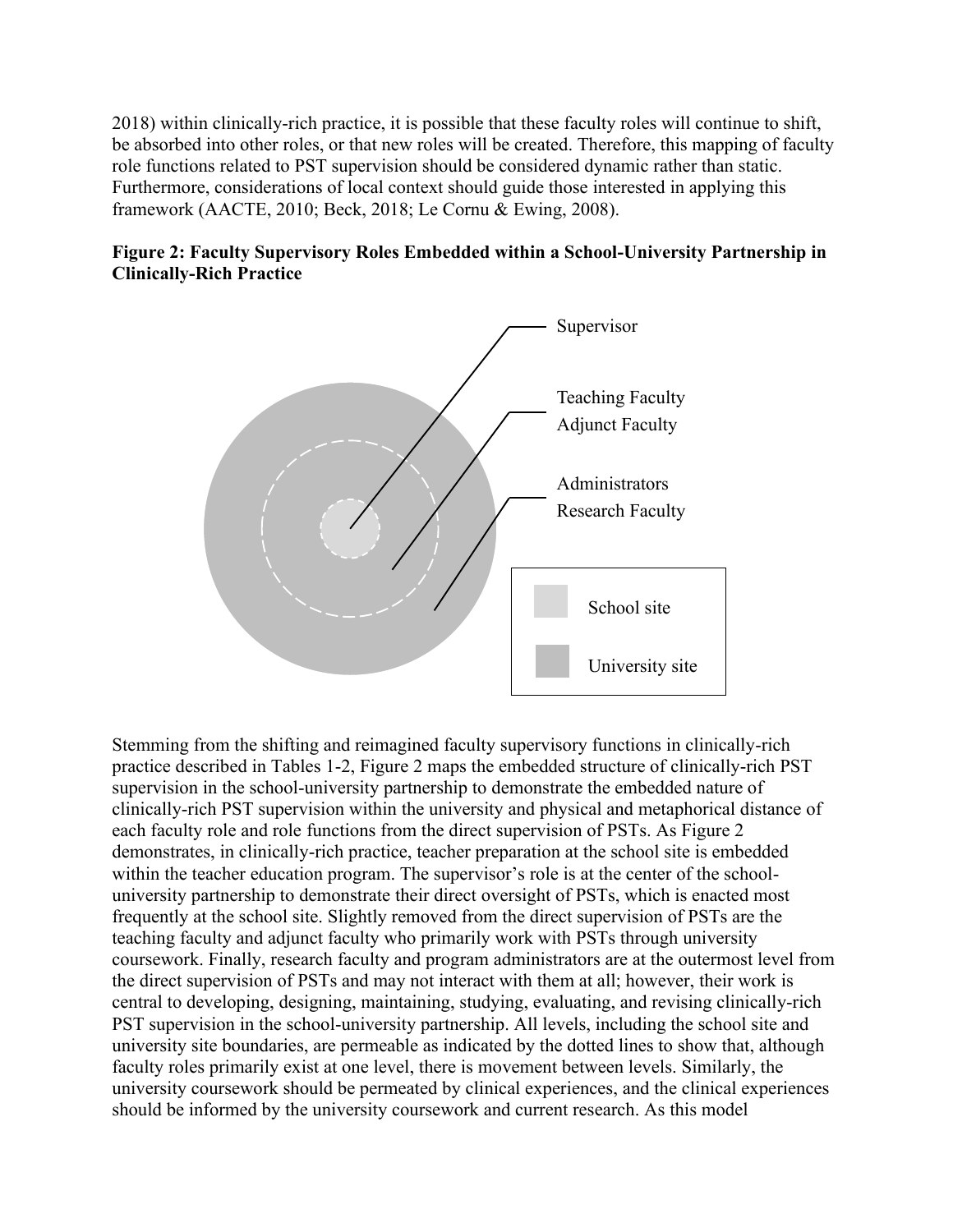2018) within clinically-rich practice, it is possible that these faculty roles will continue to shift, be absorbed into other roles, or that new roles will be created. Therefore, this mapping of faculty role functions related to PST supervision should be considered dynamic rather than static. Furthermore, considerations of local context should guide those interested in applying this framework (AACTE, 2010; Beck, 2018; Le Cornu & Ewing, 2008).

### **Figure 2: Faculty Supervisory Roles Embedded within a School-University Partnership in Clinically-Rich Practice**



Stemming from the shifting and reimagined faculty supervisory functions in clinically-rich practice described in Tables 1-2, Figure 2 maps the embedded structure of clinically-rich PST supervision in the school-university partnership to demonstrate the embedded nature of clinically-rich PST supervision within the university and physical and metaphorical distance of each faculty role and role functions from the direct supervision of PSTs. As Figure 2 demonstrates, in clinically-rich practice, teacher preparation at the school site is embedded within the teacher education program. The supervisor's role is at the center of the schooluniversity partnership to demonstrate their direct oversight of PSTs, which is enacted most frequently at the school site. Slightly removed from the direct supervision of PSTs are the teaching faculty and adjunct faculty who primarily work with PSTs through university coursework. Finally, research faculty and program administrators are at the outermost level from the direct supervision of PSTs and may not interact with them at all; however, their work is central to developing, designing, maintaining, studying, evaluating, and revising clinically-rich PST supervision in the school-university partnership. All levels, including the school site and university site boundaries, are permeable as indicated by the dotted lines to show that, although faculty roles primarily exist at one level, there is movement between levels. Similarly, the university coursework should be permeated by clinical experiences, and the clinical experiences should be informed by the university coursework and current research. As this model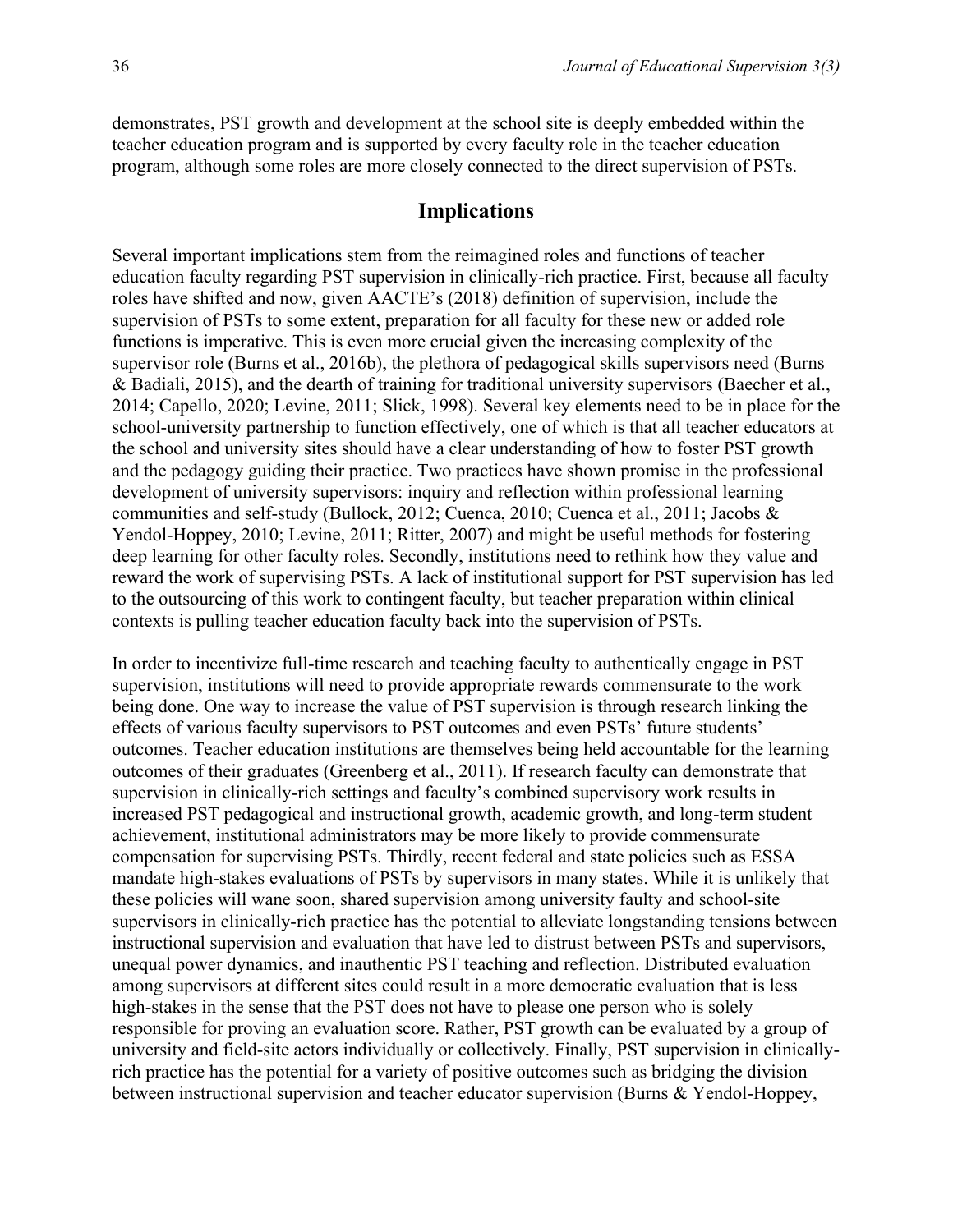demonstrates, PST growth and development at the school site is deeply embedded within the teacher education program and is supported by every faculty role in the teacher education program, although some roles are more closely connected to the direct supervision of PSTs.

#### **Implications**

Several important implications stem from the reimagined roles and functions of teacher education faculty regarding PST supervision in clinically-rich practice. First, because all faculty roles have shifted and now, given AACTE's (2018) definition of supervision, include the supervision of PSTs to some extent, preparation for all faculty for these new or added role functions is imperative. This is even more crucial given the increasing complexity of the supervisor role (Burns et al., 2016b), the plethora of pedagogical skills supervisors need (Burns & Badiali, 2015), and the dearth of training for traditional university supervisors (Baecher et al., 2014; Capello, 2020; Levine, 2011; Slick, 1998). Several key elements need to be in place for the school-university partnership to function effectively, one of which is that all teacher educators at the school and university sites should have a clear understanding of how to foster PST growth and the pedagogy guiding their practice. Two practices have shown promise in the professional development of university supervisors: inquiry and reflection within professional learning communities and self-study (Bullock, 2012; Cuenca, 2010; Cuenca et al., 2011; Jacobs & Yendol-Hoppey, 2010; Levine, 2011; Ritter, 2007) and might be useful methods for fostering deep learning for other faculty roles. Secondly, institutions need to rethink how they value and reward the work of supervising PSTs. A lack of institutional support for PST supervision has led to the outsourcing of this work to contingent faculty, but teacher preparation within clinical contexts is pulling teacher education faculty back into the supervision of PSTs.

In order to incentivize full-time research and teaching faculty to authentically engage in PST supervision, institutions will need to provide appropriate rewards commensurate to the work being done. One way to increase the value of PST supervision is through research linking the effects of various faculty supervisors to PST outcomes and even PSTs' future students' outcomes. Teacher education institutions are themselves being held accountable for the learning outcomes of their graduates (Greenberg et al., 2011). If research faculty can demonstrate that supervision in clinically-rich settings and faculty's combined supervisory work results in increased PST pedagogical and instructional growth, academic growth, and long-term student achievement, institutional administrators may be more likely to provide commensurate compensation for supervising PSTs. Thirdly, recent federal and state policies such as ESSA mandate high-stakes evaluations of PSTs by supervisors in many states. While it is unlikely that these policies will wane soon, shared supervision among university faulty and school-site supervisors in clinically-rich practice has the potential to alleviate longstanding tensions between instructional supervision and evaluation that have led to distrust between PSTs and supervisors, unequal power dynamics, and inauthentic PST teaching and reflection. Distributed evaluation among supervisors at different sites could result in a more democratic evaluation that is less high-stakes in the sense that the PST does not have to please one person who is solely responsible for proving an evaluation score. Rather, PST growth can be evaluated by a group of university and field-site actors individually or collectively. Finally, PST supervision in clinicallyrich practice has the potential for a variety of positive outcomes such as bridging the division between instructional supervision and teacher educator supervision (Burns & Yendol-Hoppey,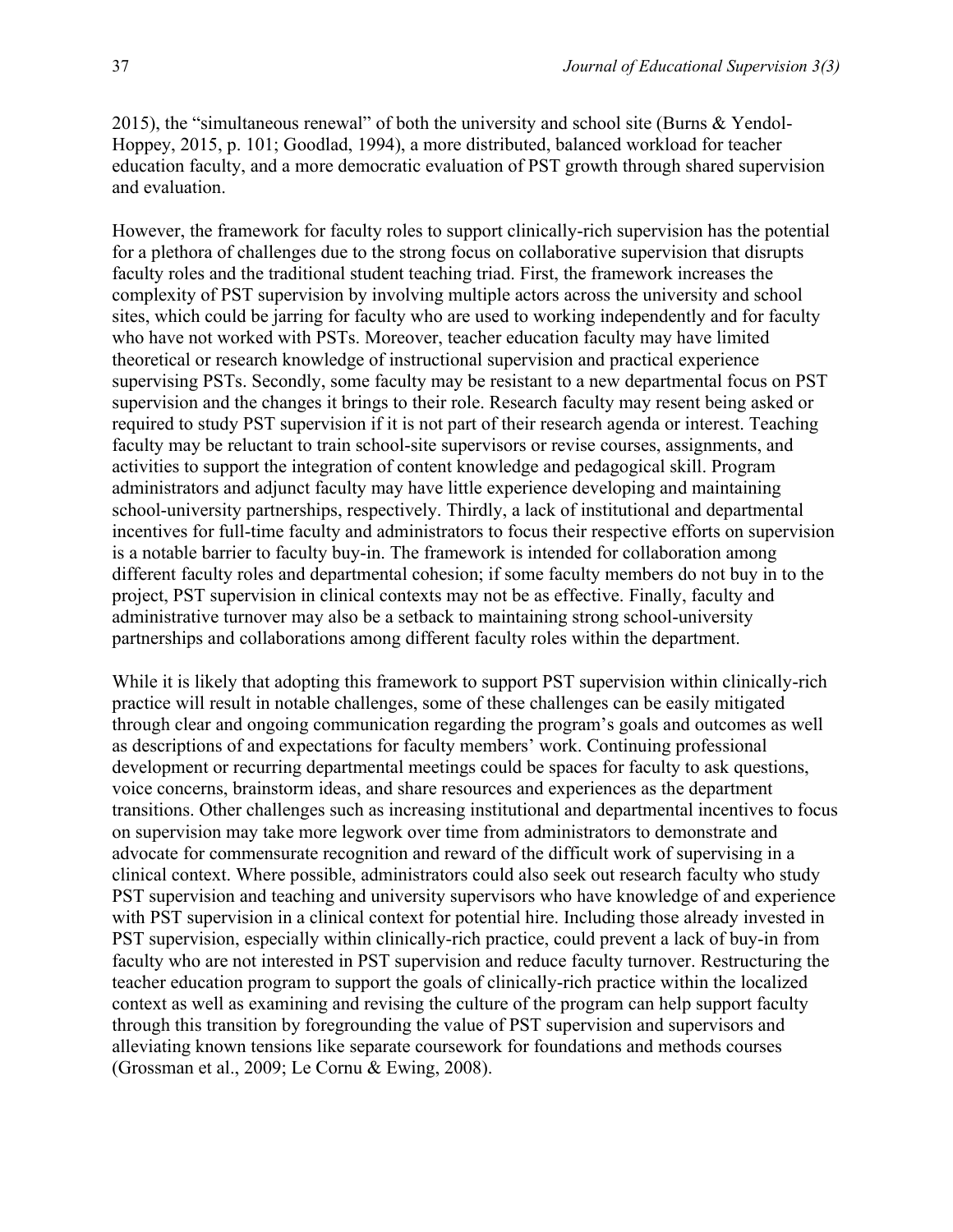2015), the "simultaneous renewal" of both the university and school site (Burns & Yendol-Hoppey, 2015, p. 101; Goodlad, 1994), a more distributed, balanced workload for teacher education faculty, and a more democratic evaluation of PST growth through shared supervision and evaluation.

However, the framework for faculty roles to support clinically-rich supervision has the potential for a plethora of challenges due to the strong focus on collaborative supervision that disrupts faculty roles and the traditional student teaching triad. First, the framework increases the complexity of PST supervision by involving multiple actors across the university and school sites, which could be jarring for faculty who are used to working independently and for faculty who have not worked with PSTs. Moreover, teacher education faculty may have limited theoretical or research knowledge of instructional supervision and practical experience supervising PSTs. Secondly, some faculty may be resistant to a new departmental focus on PST supervision and the changes it brings to their role. Research faculty may resent being asked or required to study PST supervision if it is not part of their research agenda or interest. Teaching faculty may be reluctant to train school-site supervisors or revise courses, assignments, and activities to support the integration of content knowledge and pedagogical skill. Program administrators and adjunct faculty may have little experience developing and maintaining school-university partnerships, respectively. Thirdly, a lack of institutional and departmental incentives for full-time faculty and administrators to focus their respective efforts on supervision is a notable barrier to faculty buy-in. The framework is intended for collaboration among different faculty roles and departmental cohesion; if some faculty members do not buy in to the project, PST supervision in clinical contexts may not be as effective. Finally, faculty and administrative turnover may also be a setback to maintaining strong school-university partnerships and collaborations among different faculty roles within the department.

While it is likely that adopting this framework to support PST supervision within clinically-rich practice will result in notable challenges, some of these challenges can be easily mitigated through clear and ongoing communication regarding the program's goals and outcomes as well as descriptions of and expectations for faculty members' work. Continuing professional development or recurring departmental meetings could be spaces for faculty to ask questions, voice concerns, brainstorm ideas, and share resources and experiences as the department transitions. Other challenges such as increasing institutional and departmental incentives to focus on supervision may take more legwork over time from administrators to demonstrate and advocate for commensurate recognition and reward of the difficult work of supervising in a clinical context. Where possible, administrators could also seek out research faculty who study PST supervision and teaching and university supervisors who have knowledge of and experience with PST supervision in a clinical context for potential hire. Including those already invested in PST supervision, especially within clinically-rich practice, could prevent a lack of buy-in from faculty who are not interested in PST supervision and reduce faculty turnover. Restructuring the teacher education program to support the goals of clinically-rich practice within the localized context as well as examining and revising the culture of the program can help support faculty through this transition by foregrounding the value of PST supervision and supervisors and alleviating known tensions like separate coursework for foundations and methods courses (Grossman et al., 2009; Le Cornu & Ewing, 2008).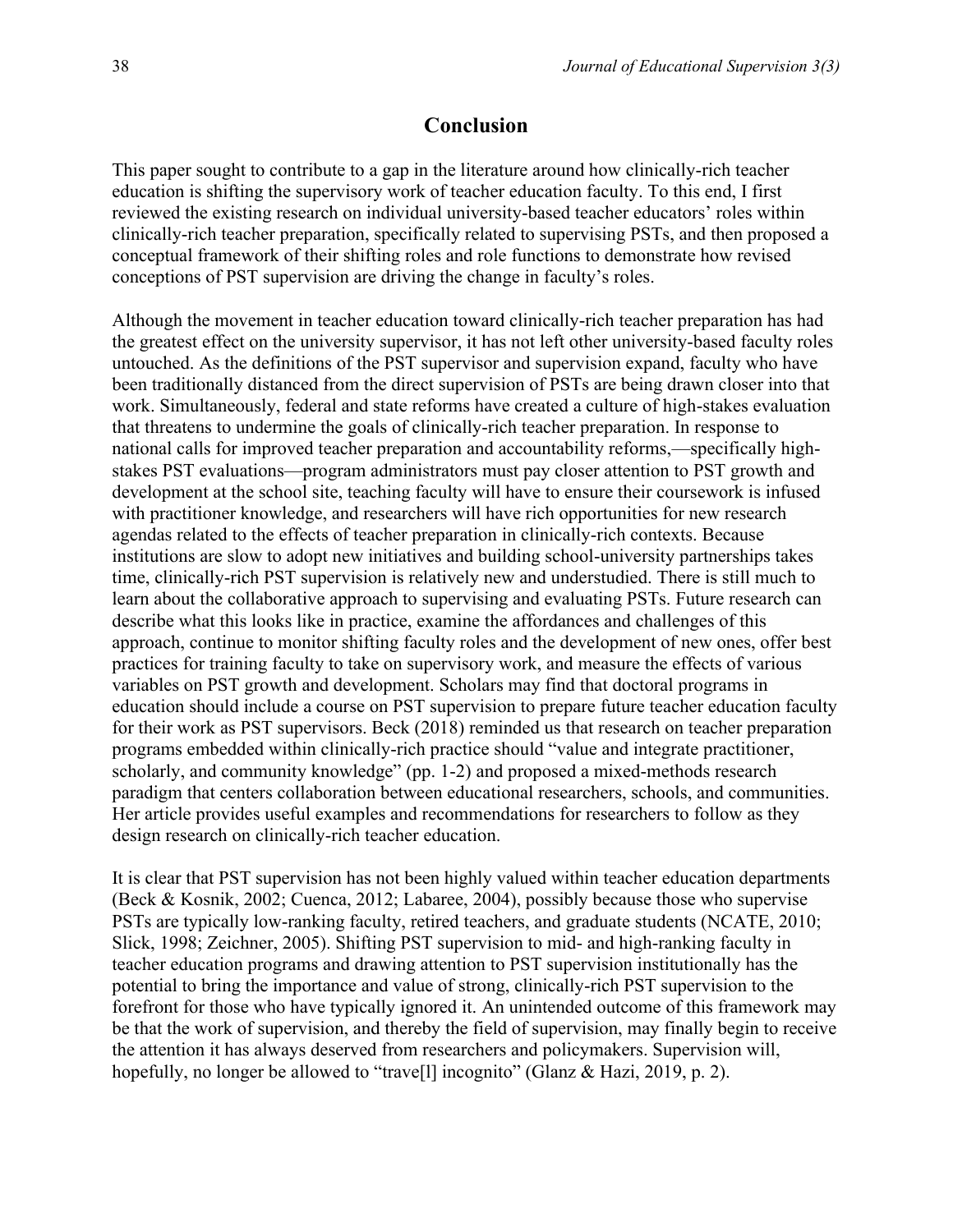#### **Conclusion**

This paper sought to contribute to a gap in the literature around how clinically-rich teacher education is shifting the supervisory work of teacher education faculty. To this end, I first reviewed the existing research on individual university-based teacher educators' roles within clinically-rich teacher preparation, specifically related to supervising PSTs, and then proposed a conceptual framework of their shifting roles and role functions to demonstrate how revised conceptions of PST supervision are driving the change in faculty's roles.

Although the movement in teacher education toward clinically-rich teacher preparation has had the greatest effect on the university supervisor, it has not left other university-based faculty roles untouched. As the definitions of the PST supervisor and supervision expand, faculty who have been traditionally distanced from the direct supervision of PSTs are being drawn closer into that work. Simultaneously, federal and state reforms have created a culture of high-stakes evaluation that threatens to undermine the goals of clinically-rich teacher preparation. In response to national calls for improved teacher preparation and accountability reforms,—specifically highstakes PST evaluations—program administrators must pay closer attention to PST growth and development at the school site, teaching faculty will have to ensure their coursework is infused with practitioner knowledge, and researchers will have rich opportunities for new research agendas related to the effects of teacher preparation in clinically-rich contexts. Because institutions are slow to adopt new initiatives and building school-university partnerships takes time, clinically-rich PST supervision is relatively new and understudied. There is still much to learn about the collaborative approach to supervising and evaluating PSTs. Future research can describe what this looks like in practice, examine the affordances and challenges of this approach, continue to monitor shifting faculty roles and the development of new ones, offer best practices for training faculty to take on supervisory work, and measure the effects of various variables on PST growth and development. Scholars may find that doctoral programs in education should include a course on PST supervision to prepare future teacher education faculty for their work as PST supervisors. Beck (2018) reminded us that research on teacher preparation programs embedded within clinically-rich practice should "value and integrate practitioner, scholarly, and community knowledge" (pp. 1-2) and proposed a mixed-methods research paradigm that centers collaboration between educational researchers, schools, and communities. Her article provides useful examples and recommendations for researchers to follow as they design research on clinically-rich teacher education.

It is clear that PST supervision has not been highly valued within teacher education departments (Beck & Kosnik, 2002; Cuenca, 2012; Labaree, 2004), possibly because those who supervise PSTs are typically low-ranking faculty, retired teachers, and graduate students (NCATE, 2010; Slick, 1998; Zeichner, 2005). Shifting PST supervision to mid- and high-ranking faculty in teacher education programs and drawing attention to PST supervision institutionally has the potential to bring the importance and value of strong, clinically-rich PST supervision to the forefront for those who have typically ignored it. An unintended outcome of this framework may be that the work of supervision, and thereby the field of supervision, may finally begin to receive the attention it has always deserved from researchers and policymakers. Supervision will, hopefully, no longer be allowed to "trave<sup>[1]</sup> incognito" (Glanz & Hazi, 2019, p. 2).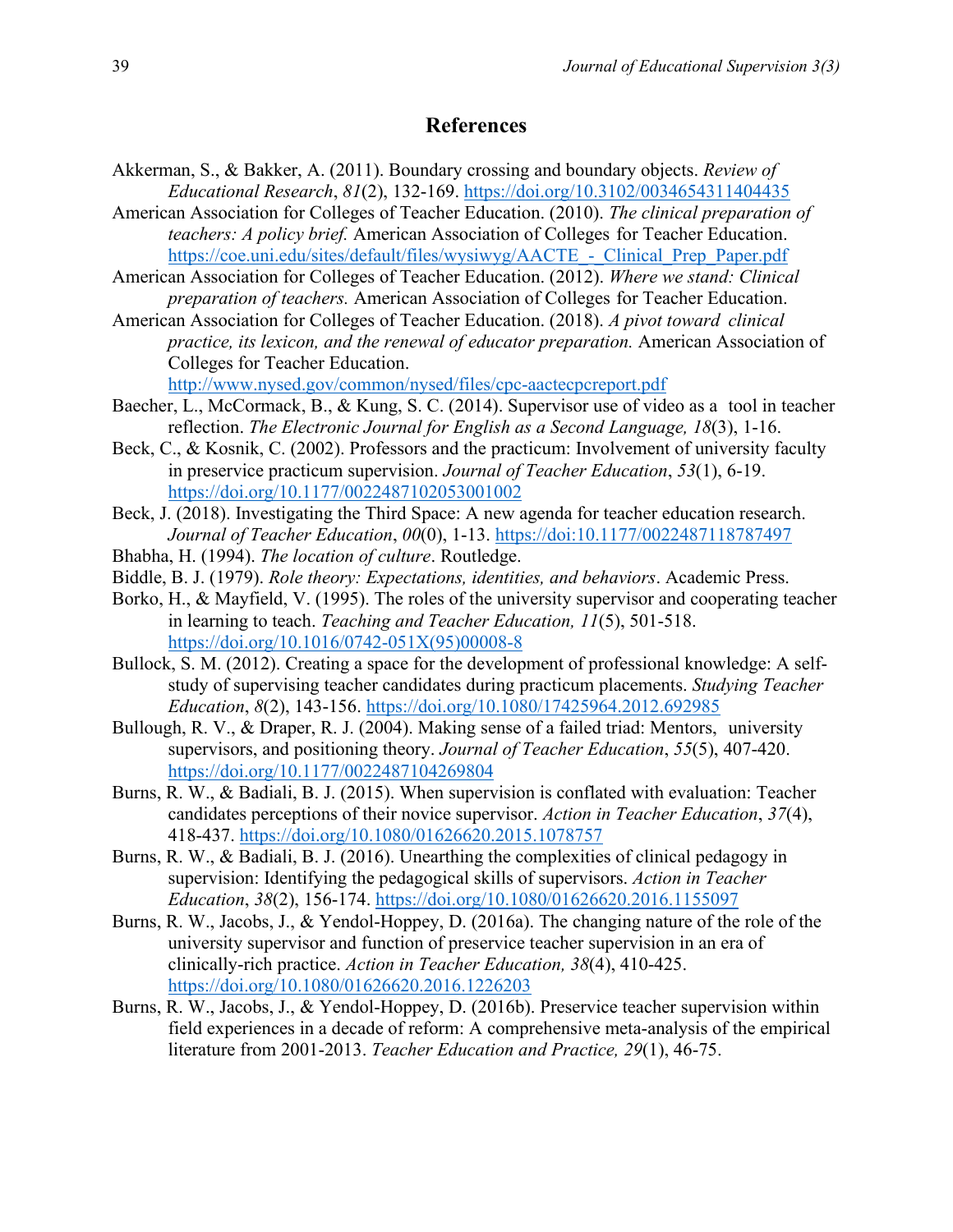## **References**

- Akkerman, S., & Bakker, A. (2011). Boundary crossing and boundary objects. *Review of Educational Research*, *81*(2), 132-169.<https://doi.org/10.3102/0034654311404435>
- American Association for Colleges of Teacher Education. (2010). *The clinical preparation of teachers: A policy brief.* American Association of Colleges for Teacher Education. https://coe.uni.edu/sites/default/files/wysiwyg/AACTE - Clinical Prep Paper.pdf
- American Association for Colleges of Teacher Education. (2012). *Where we stand: Clinical preparation of teachers.* American Association of Colleges for Teacher Education.
- American Association for Colleges of Teacher Education. (2018). *A pivot toward clinical practice, its lexicon, and the renewal of educator preparation.* American Association of Colleges for Teacher Education.

<http://www.nysed.gov/common/nysed/files/cpc-aactecpcreport.pdf>

- Baecher, L., McCormack, B., & Kung, S. C. (2014). Supervisor use of video as a tool in teacher reflection. *The Electronic Journal for English as a Second Language, 18*(3), 1-16.
- Beck, C., & Kosnik, C. (2002). Professors and the practicum: Involvement of university faculty in preservice practicum supervision. *Journal of Teacher Education*, *53*(1), 6-19. [https://doi.org/10.1177/0022487102053001002](https://doi.org/10.1177%2F0022487102053001002)
- Beck, J. (2018). Investigating the Third Space: A new agenda for teacher education research. *Journal of Teacher Education*, *00*(0), 1-13.<https://doi:10.1177/0022487118787497>
- Bhabha, H. (1994). *The location of culture*. Routledge.
- Biddle, B. J. (1979). *Role theory: Expectations, identities, and behaviors*. Academic Press.
- Borko, H., & Mayfield, V. (1995). The roles of the university supervisor and cooperating teacher in learning to teach. *Teaching and Teacher Education, 11*(5), 501-518. [https://doi.org/10.1016/0742-051X\(95\)00008-8](https://doi.org/10.1016/0742-051X(95)00008-8)
- Bullock, S. M. (2012). Creating a space for the development of professional knowledge: A selfstudy of supervising teacher candidates during practicum placements. *Studying Teacher Education*, *8*(2), 143-156.<https://doi.org/10.1080/17425964.2012.692985>
- Bullough, R. V., & Draper, R. J. (2004). Making sense of a failed triad: Mentors, university supervisors, and positioning theory. *Journal of Teacher Education*, *55*(5), 407-420. [https://doi.org/10.1177/0022487104269804](https://doi.org/10.1177%2F0022487104269804)
- Burns, R. W., & Badiali, B. J. (2015). When supervision is conflated with evaluation: Teacher candidates perceptions of their novice supervisor. *Action in Teacher Education*, *37*(4), 418-437.<https://doi.org/10.1080/01626620.2015.1078757>
- Burns, R. W., & Badiali, B. J. (2016). Unearthing the complexities of clinical pedagogy in supervision: Identifying the pedagogical skills of supervisors. *Action in Teacher Education*, *38*(2), 156-174.<https://doi.org/10.1080/01626620.2016.1155097>
- Burns, R. W., Jacobs, J., & Yendol-Hoppey, D. (2016a). The changing nature of the role of the university supervisor and function of preservice teacher supervision in an era of clinically-rich practice. *Action in Teacher Education, 38*(4), 410-425. <https://doi.org/10.1080/01626620.2016.1226203>
- Burns, R. W., Jacobs, J., & Yendol-Hoppey, D. (2016b). Preservice teacher supervision within field experiences in a decade of reform: A comprehensive meta-analysis of the empirical literature from 2001-2013. *Teacher Education and Practice, 29*(1), 46-75.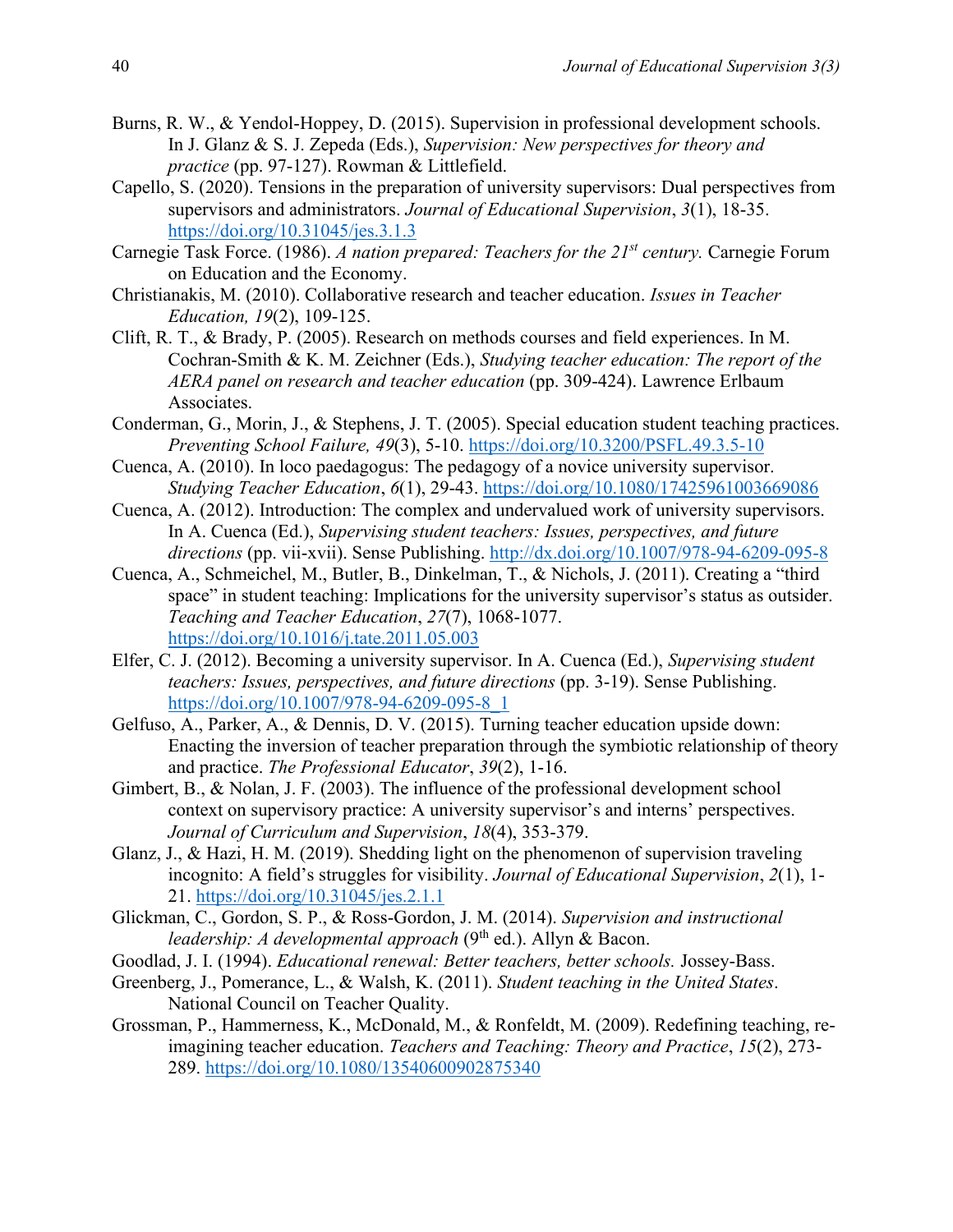- Burns, R. W., & Yendol-Hoppey, D. (2015). Supervision in professional development schools. In J. Glanz & S. J. Zepeda (Eds.), *Supervision: New perspectives for theory and practice* (pp. 97-127). Rowman & Littlefield.
- Capello, S. (2020). Tensions in the preparation of university supervisors: Dual perspectives from supervisors and administrators. *Journal of Educational Supervision*, *3*(1), 18-35. <https://doi.org/10.31045/jes.3.1.3>
- Carnegie Task Force. (1986). *A nation prepared: Teachers for the 21st century.* Carnegie Forum on Education and the Economy.
- Christianakis, M. (2010). Collaborative research and teacher education. *Issues in Teacher Education, 19*(2), 109-125.
- Clift, R. T., & Brady, P. (2005). Research on methods courses and field experiences. In M. Cochran-Smith & K. M. Zeichner (Eds.), *Studying teacher education: The report of the AERA panel on research and teacher education* (pp. 309-424). Lawrence Erlbaum Associates.
- Conderman, G., Morin, J., & Stephens, J. T. (2005). Special education student teaching practices. *Preventing School Failure, 49*(3), 5-10. <https://doi.org/10.3200/PSFL.49.3.5-10>
- Cuenca, A. (2010). In loco paedagogus: The pedagogy of a novice university supervisor. *Studying Teacher Education*, *6*(1), 29-43. <https://doi.org/10.1080/17425961003669086>
- Cuenca, A. (2012). Introduction: The complex and undervalued work of university supervisors. In A. Cuenca (Ed.), *Supervising student teachers: Issues, perspectives, and future directions* (pp. vii-xvii). Sense Publishing. <http://dx.doi.org/10.1007/978-94-6209-095-8>
- Cuenca, A., Schmeichel, M., Butler, B., Dinkelman, T., & Nichols, J. (2011). Creating a "third space" in student teaching: Implications for the university supervisor's status as outsider. *Teaching and Teacher Education*, *27*(7), 1068-1077. <https://doi.org/10.1016/j.tate.2011.05.003>
- Elfer, C. J. (2012). Becoming a university supervisor. In A. Cuenca (Ed.), *Supervising student teachers: Issues, perspectives, and future directions* (pp. 3-19). Sense Publishing. [https://doi.org/10.1007/978-94-6209-095-8\\_1](https://doi.org/10.1007/978-94-6209-095-8_1)
- Gelfuso, A., Parker, A., & Dennis, D. V. (2015). Turning teacher education upside down: Enacting the inversion of teacher preparation through the symbiotic relationship of theory and practice. *The Professional Educator*, *39*(2), 1-16.
- Gimbert, B., & Nolan, J. F. (2003). The influence of the professional development school context on supervisory practice: A university supervisor's and interns' perspectives. *Journal of Curriculum and Supervision*, *18*(4), 353-379.
- Glanz, J., & Hazi, H. M. (2019). Shedding light on the phenomenon of supervision traveling incognito: A field's struggles for visibility. *Journal of Educational Supervision*, *2*(1), 1- 21. <https://doi.org/10.31045/jes.2.1.1>
- Glickman, C., Gordon, S. P., & Ross-Gordon, J. M. (2014). *Supervision and instructional leadership: A developmental approach* (9<sup>th</sup> ed.). Allyn & Bacon.
- Goodlad, J. I. (1994). *Educational renewal: Better teachers, better schools.* Jossey-Bass.
- Greenberg, J., Pomerance, L., & Walsh, K. (2011). *Student teaching in the United States*. National Council on Teacher Quality.
- Grossman, P., Hammerness, K., McDonald, M., & Ronfeldt, M. (2009). Redefining teaching, reimagining teacher education. *Teachers and Teaching: Theory and Practice*, *15*(2), 273- 289. <https://doi.org/10.1080/13540600902875340>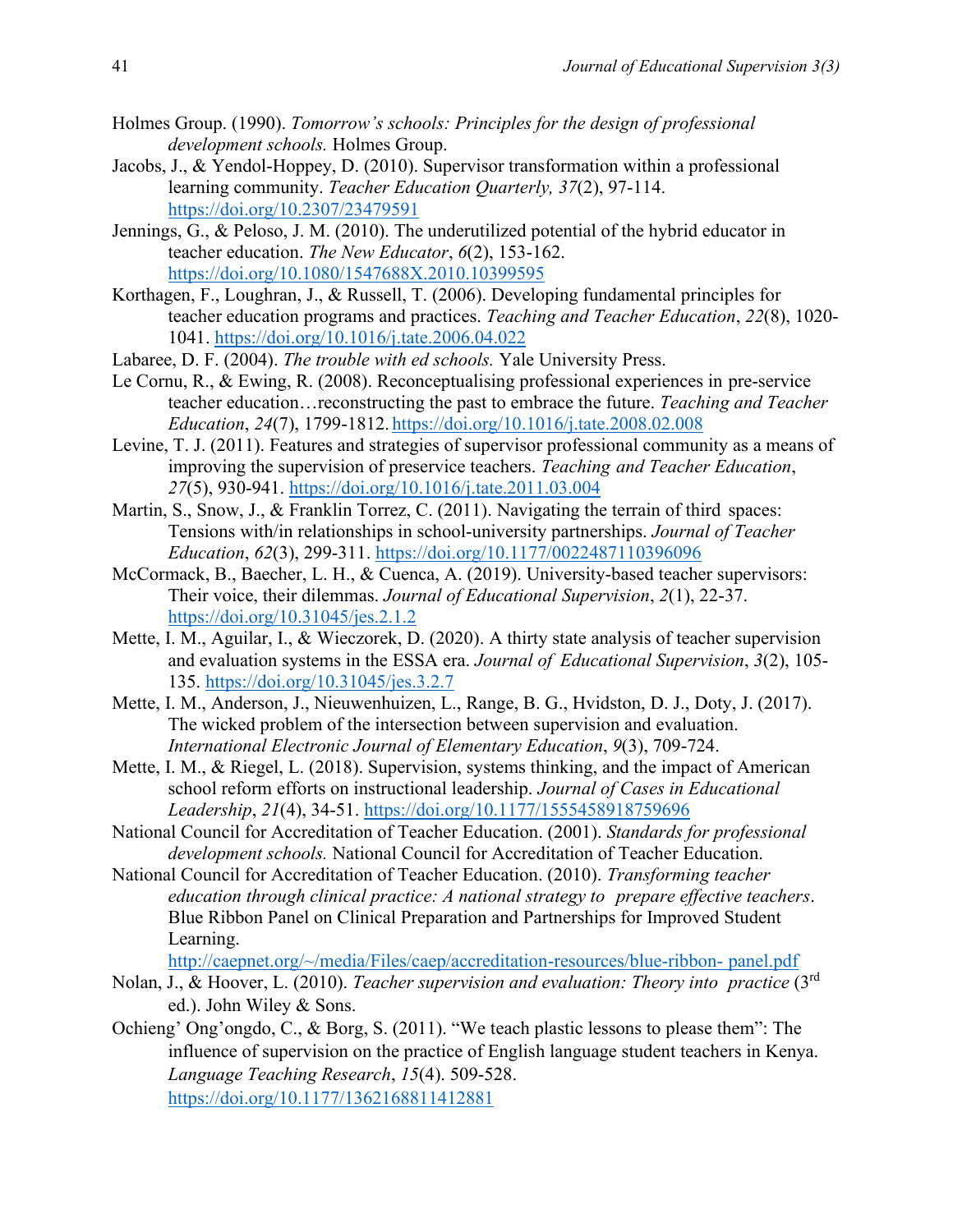- Holmes Group. (1990). *Tomorrow's schools: Principles for the design of professional development schools.* Holmes Group.
- Jacobs, J., & Yendol-Hoppey, D. (2010). Supervisor transformation within a professional learning community. *Teacher Education Quarterly, 37*(2), 97-114. <https://doi.org/10.2307/23479591>
- Jennings, G., & Peloso, J. M. (2010). The underutilized potential of the hybrid educator in teacher education. *The New Educator*, *6*(2), 153-162. <https://doi.org/10.1080/1547688X.2010.10399595>
- Korthagen, F., Loughran, J., & Russell, T. (2006). Developing fundamental principles for teacher education programs and practices. *Teaching and Teacher Education*, *22*(8), 1020- 1041. <https://doi.org/10.1016/j.tate.2006.04.022>
- Labaree, D. F. (2004). *The trouble with ed schools.* Yale University Press.
- Le Cornu, R., & Ewing, R. (2008). Reconceptualising professional experiences in pre-service teacher education…reconstructing the past to embrace the future. *Teaching and Teacher Education*, *24*(7), 1799-1812. <https://doi.org/10.1016/j.tate.2008.02.008>
- Levine, T. J. (2011). Features and strategies of supervisor professional community as a means of improving the supervision of preservice teachers. *Teaching and Teacher Education*, *27*(5), 930-941.<https://doi.org/10.1016/j.tate.2011.03.004>
- Martin, S., Snow, J., & Franklin Torrez, C. (2011). Navigating the terrain of third spaces: Tensions with/in relationships in school-university partnerships. *Journal of Teacher Education*, *62*(3), 299-311. <https://doi.org/10.1177/0022487110396096>
- McCormack, B., Baecher, L. H., & Cuenca, A. (2019). University-based teacher supervisors: Their voice, their dilemmas. *Journal of Educational Supervision*, *2*(1), 22-37. <https://doi.org/10.31045/jes.2.1.2>
- Mette, I. M., Aguilar, I., & Wieczorek, D. (2020). A thirty state analysis of teacher supervision and evaluation systems in the ESSA era. *Journal of Educational Supervision*, *3*(2), 105- 135.<https://doi.org/10.31045/jes.3.2.7>
- Mette, I. M., Anderson, J., Nieuwenhuizen, L., Range, B. G., Hvidston, D. J., Doty, J. (2017). The wicked problem of the intersection between supervision and evaluation. *International Electronic Journal of Elementary Education*, *9*(3), 709-724.
- Mette, I. M., & Riegel, L. (2018). Supervision, systems thinking, and the impact of American school reform efforts on instructional leadership. *Journal of Cases in Educational Leadership*, *21*(4), 34-51.<https://doi.org/10.1177/1555458918759696>
- National Council for Accreditation of Teacher Education. (2001). *Standards for professional development schools.* National Council for Accreditation of Teacher Education.
- National Council for Accreditation of Teacher Education. (2010). *Transforming teacher education through clinical practice: A national strategy to prepare effective teachers*. Blue Ribbon Panel on Clinical Preparation and Partnerships for Improved Student Learning.

[http://caepnet.org/~/media/Files/caep/accreditation-resources/blue-ribbon-](http://caepnet.org/~/media/Files/caep/accreditation-resources/blue-ribbon-%09panel.pdf) panel.pdf

- Nolan, J., & Hoover, L. (2010). *Teacher supervision and evaluation: Theory into practice* (3rd ed.). John Wiley & Sons.
- Ochieng' Ong'ongdo, C., & Borg, S. (2011). "We teach plastic lessons to please them": The influence of supervision on the practice of English language student teachers in Kenya. *Language Teaching Research*, *15*(4). 509-528. <https://doi.org/10.1177/1362168811412881>